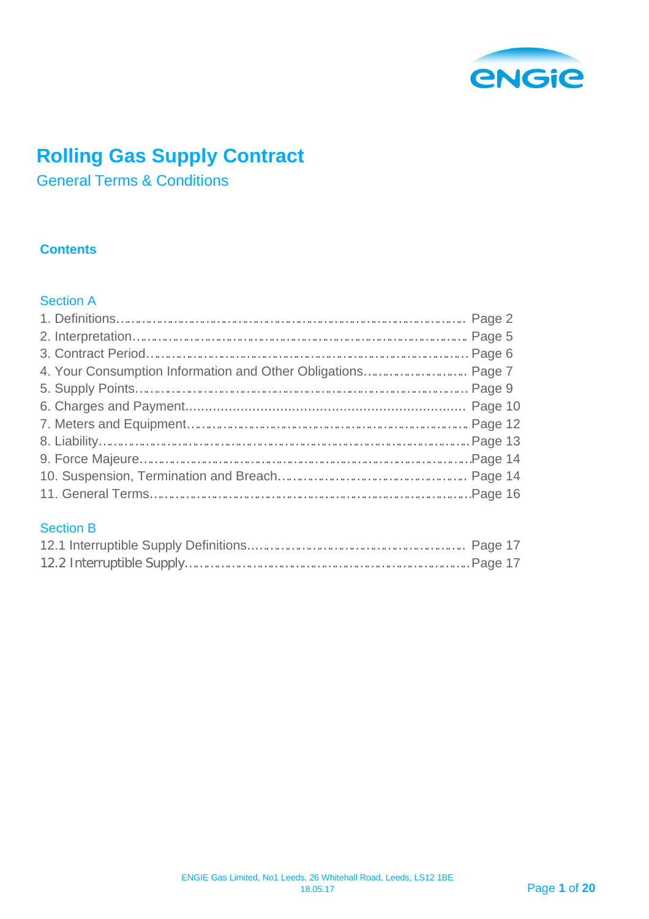

# **Rolling Gas Supply Contract**

General Terms & Conditions

## **Contents**

## Section A

## Section B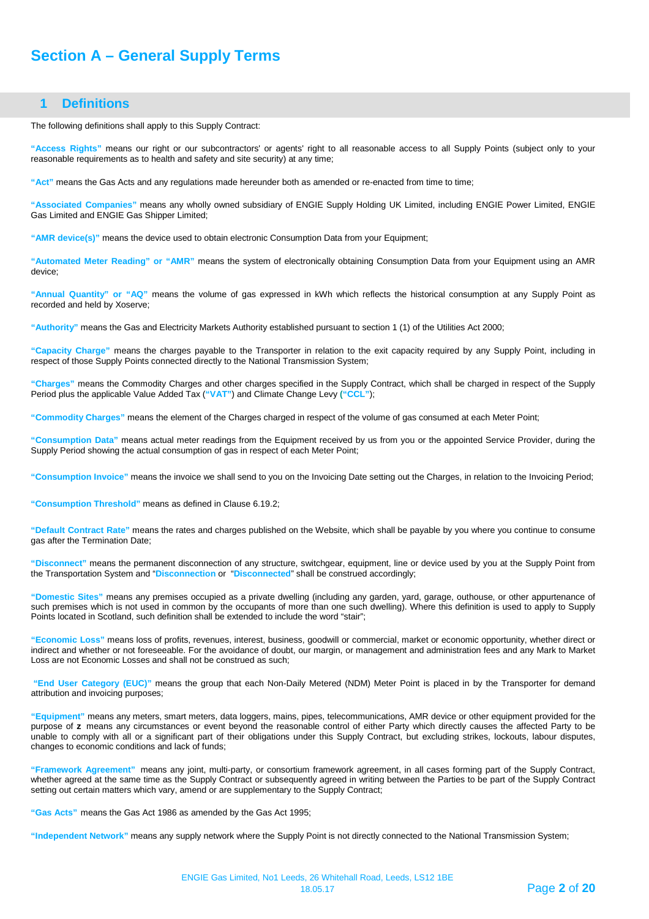## **Section A – General Supply Terms**

### **1 Definitions**

<span id="page-1-0"></span>The following definitions shall apply to this Supply Contract:

**"Access Rights"** means our right or our subcontractors' or agents' right to all reasonable access to all Supply Points (subject only to your reasonable requirements as to health and safety and site security) at any time;

**"Act"** means the Gas Acts and any regulations made hereunder both as amended or re-enacted from time to time;

**"Associated Companies"** means any wholly owned subsidiary of ENGIE Supply Holding UK Limited, including ENGIE Power Limited, ENGIE Gas Limited and ENGIE Gas Shipper Limited;

**"AMR device(s)"** means the device used to obtain electronic Consumption Data from your Equipment;

**"Automated Meter Reading" or "AMR"** means the system of electronically obtaining Consumption Data from your Equipment using an AMR device;

**"Annual Quantity" or "AQ"** means the volume of gas expressed in kWh which reflects the historical consumption at any Supply Point as recorded and held by Xoserve;

**"Authority"** means the Gas and Electricity Markets Authority established pursuant to section 1 (1) of the Utilities Act 2000;

**"Capacity Charge"** means the charges payable to the Transporter in relation to the exit capacity required by any Supply Point, including in respect of those Supply Points connected directly to the National Transmission System;

**"Charges"** means the Commodity Charges and other charges specified in the Supply Contract, which shall be charged in respect of the Supply Period plus the applicable Value Added Tax (**"VAT"**) and Climate Change Levy **("CCL"**);

**"Commodity Charges"** means the element of the Charges charged in respect of the volume of gas consumed at each Meter Point;

**"Consumption Data"** means actual meter readings from the Equipment received by us from you or the appointed Service Provider, during the Supply Period showing the actual consumption of gas in respect of each Meter Point;

**"Consumption Invoice"** means the invoice we shall send to you on the Invoicing Date setting out the Charges, in relation to the Invoicing Period;

**"Consumption Threshold"** means as defined in Clause 6.19.2;

**"Default Contract Rate"** means the rates and charges published on [the](http://the/) Website, which shall be payable by you where you continue to consume gas after the Termination Date;

**"Disconnect"** means the permanent disconnection of any structure, switchgear, equipment, line or device used by you at the Supply Point from the Transportation System and "**Disconnection** or "**Disconnected**" shall be construed accordingly;

**"Domestic Sites"** means any premises occupied as a private dwelling (including any garden, yard, garage, outhouse, or other appurtenance of such premises which is not used in common by the occupants of more than one such dwelling). Where this definition is used to apply to Supply Points located in Scotland, such definition shall be extended to include the word "stair";

**"Economic Loss"** means loss of profits, revenues, interest, business, goodwill or commercial, market or economic opportunity, whether direct or indirect and whether or not foreseeable. For the avoidance of doubt, our margin, or management and administration fees and any Mark to Market Loss are not Economic Losses and shall not be construed as such;

**"End User Category (EUC)"** means the group that each Non-Daily Metered (NDM) Meter Point is placed in by the Transporter for demand attribution and invoicing purposes;

**"Equipment"** means any meters, smart meters, data loggers, mains, pipes, telecommunications, AMR device or other equipment provided for the purpose of **z** means any circumstances or event beyond the reasonable control of either Party which directly causes the affected Party to be unable to comply with all or a significant part of their obligations under this Supply Contract, but excluding strikes, lockouts, labour disputes, changes to economic conditions and lack of funds;

**"Framework Agreement"** means any joint, multi-party, or consortium framework agreement, in all cases forming part of the Supply Contract, whether agreed at the same time as the Supply Contract or subsequently agreed in writing between the Parties to be part of the Supply Contract setting out certain matters which vary, amend or are supplementary to the Supply Contract;

**"Gas Acts"** means the Gas Act 1986 as amended by the Gas Act 1995;

**"Independent Network"** means any supply network where the Supply Point is not directly connected to the National Transmission System;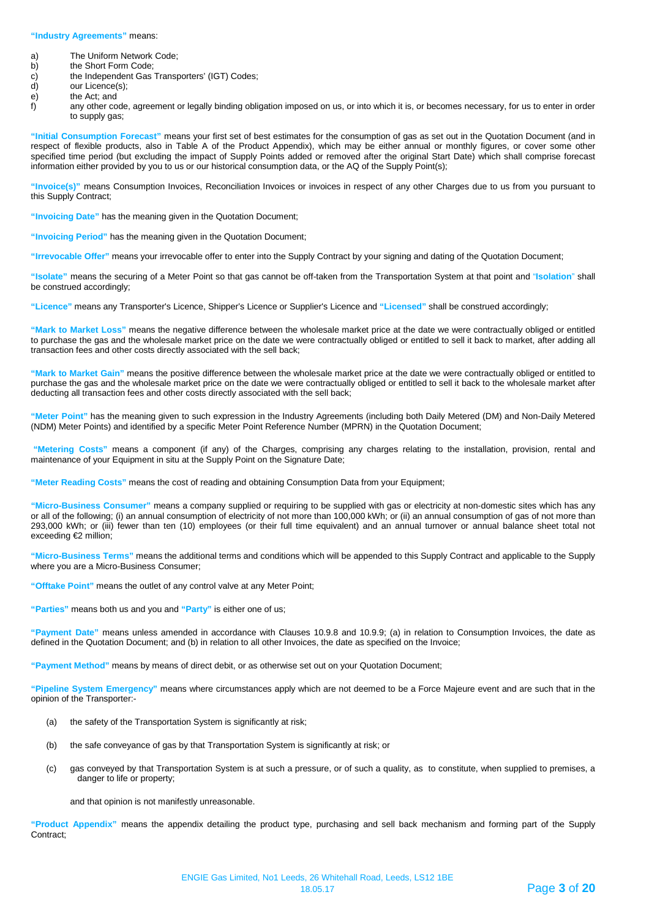#### **"Industry Agreements"** means:

- a) The Uniform Network Code;<br>b) the Short Form Code;
- 
- b) the Short Form Code;<br>c) the Independent Gas c) the Independent Gas Transporters' (IGT) Codes;<br>d) our Licence(s);
- d) our Licence(s);<br>e) the Act; and
- 
- e) the Act; and<br>f) any other co any other code, agreement or legally binding obligation imposed on us, or into which it is, or becomes necessary, for us to enter in order to supply gas;

**"Initial Consumption Forecast"** means your first set of best estimates for the consumption of gas as set out in the Quotation Document (and in respect of flexible products, also in Table A of the Product Appendix), which may be either annual or monthly figures, or cover some other specified time period (but excluding the impact of Supply Points added or removed after the original Start Date) which shall comprise forecast information either provided by you to us or our historical consumption data, or the AQ of the Supply Point(s);

**"Invoice(s)"** means Consumption Invoices, Reconciliation Invoices or invoices in respect of any other Charges due to us from you pursuant to this Supply Contract;

**"Invoicing Date"** has the meaning given in the Quotation Document;

**"Invoicing Period"** has the meaning given in the Quotation Document;

**"Irrevocable Offer"** means your irrevocable offer to enter into the Supply Contract by your signing and dating of the Quotation Document;

**"Isolate"** means the securing of a Meter Point so that gas cannot be off-taken from the Transportation System at that point and "**Isolation**" shall be construed accordingly;

**"Licence"** means any Transporter's Licence, Shipper's Licence or Supplier's Licence and **"Licensed"** shall be construed accordingly;

**"Mark to Market Loss"** means the negative difference between the wholesale market price at the date we were contractually obliged or entitled to purchase the gas and the wholesale market price on the date we were contractually obliged or entitled to sell it back to market, after adding all transaction fees and other costs directly associated with the sell back;

**"Mark to Market Gain"** means the positive difference between the wholesale market price at the date we were contractually obliged or entitled to purchase the gas and the wholesale market price on the date we were contractually obliged or entitled to sell it back to the wholesale market after deducting all transaction fees and other costs directly associated with the sell back;

**"Meter Point"** has the meaning given to such expression in the Industry Agreements (including both Daily Metered (DM) and Non-Daily Metered (NDM) Meter Points) and identified by a specific Meter Point Reference Number (MPRN) in the Quotation Document;

**"Metering Costs"** means a component (if any) of the Charges, comprising any charges relating to the installation, provision, rental and maintenance of your Equipment in situ at the Supply Point on the Signature Date;

**"Meter Reading Costs"** means the cost of reading and obtaining Consumption Data from your Equipment;

**"Micro-Business Consumer"** means a company supplied or requiring to be supplied with gas or electricity at non-domestic sites which has any or all of the following; (i) an annual consumption of electricity of not more than 100,000 kWh; or (ii) an annual consumption of gas of not more than 293,000 kWh; or (iii) fewer than ten (10) employees (or their full time equivalent) and an annual turnover or annual balance sheet total not exceeding €2 million;

**"Micro-Business Terms"** means the additional terms and conditions which will be appended to this Supply Contract and applicable to the Supply where you are a Micro-Business Consumer;

**"Offtake Point"** means the outlet of any control valve at any Meter Point;

**"Parties"** means both us and you and **"Party"** is either one of us;

**"Payment Date"** means unless amended in accordance with Clauses 10.9.8 and 10.9.9; (a) in relation to Consumption Invoices, the date as defined in the Quotation Document; and (b) in relation to all other Invoices, the date as specified on the Invoice;

**"Payment Method"** means by means of direct debit, or as otherwise set out on your Quotation Document;

**"Pipeline System Emergency"** means where circumstances apply which are not deemed to be a Force Majeure event and are such that in the opinion of the Transporter:-

- (a) the safety of the Transportation System is significantly at risk;
- (b) the safe conveyance of gas by that Transportation System is significantly at risk; or
- (c) gas conveyed by that Transportation System is at such a pressure, or of such a quality, as to constitute, when supplied to premises, a danger to life or property;

and that opinion is not manifestly unreasonable.

**"Product Appendix"** means the appendix detailing the product type, purchasing and sell back mechanism and forming part of the Supply Contract;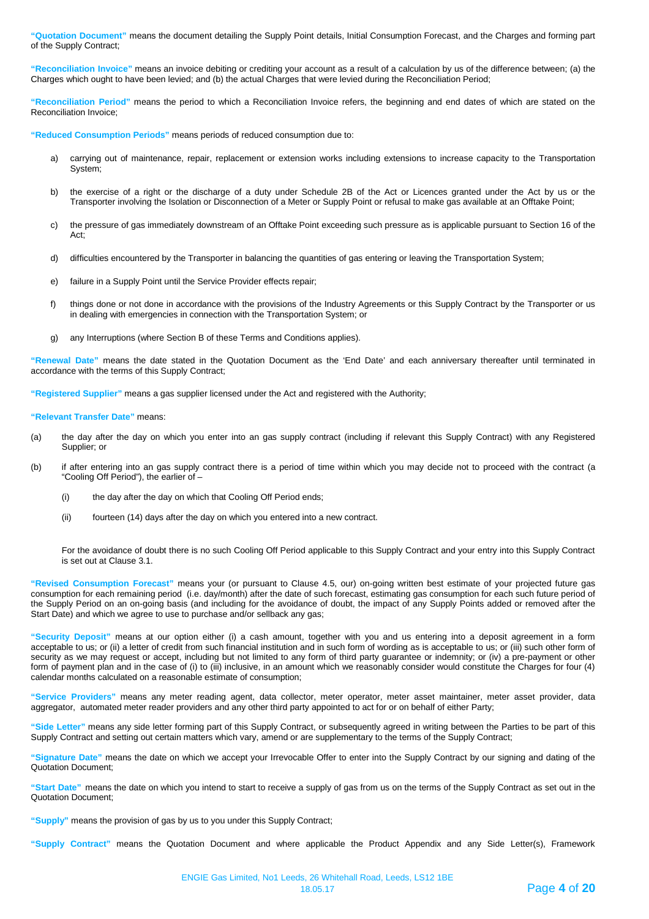**"Quotation Document"** means the document detailing the Supply Point details, Initial Consumption Forecast, and the Charges and forming part of the Supply Contract;

**"Reconciliation Invoice"** means an invoice debiting or crediting your account as a result of a calculation by us of the difference between; (a) the Charges which ought to have been levied; and (b) the actual Charges that were levied during the Reconciliation Period;

**"Reconciliation Period"** means the period to which a Reconciliation Invoice refers, the beginning and end dates of which are stated on the Reconciliation Invoice;

**"Reduced Consumption Periods"** means periods of reduced consumption due to:

- a) carrying out of maintenance, repair, replacement or extension works including extensions to increase capacity to the Transportation System;
- b) the exercise of a right or the discharge of a duty under Schedule 2B of the Act or Licences granted under the Act by us or the Transporter involving the Isolation or Disconnection of a Meter or Supply Point or refusal to make gas available at an Offtake Point;
- c) the pressure of gas immediately downstream of an Offtake Point exceeding such pressure as is applicable pursuant to Section 16 of the Act;
- d) difficulties encountered by the Transporter in balancing the quantities of gas entering or leaving the Transportation System;
- e) failure in a Supply Point until the Service Provider effects repair;
- f) things done or not done in accordance with the provisions of the Industry Agreements or this Supply Contract by the Transporter or us in dealing with emergencies in connection with the Transportation System; or
- g) any Interruptions (where Section B of these Terms and Conditions applies).

**"Renewal Date"** means the date stated in the Quotation Document as the 'End Date' and each anniversary thereafter until terminated in accordance with the terms of this Supply Contract;

**"Registered Supplier"** means a gas supplier licensed under the Act and registered with the Authority;

**"Relevant Transfer Date"** means:

- (a) the day after the day on which you enter into an gas supply contract (including if relevant this Supply Contract) with any Registered Supplier; or
- (b) if after entering into an gas supply contract there is a period of time within which you may decide not to proceed with the contract (a "Cooling Off Period"), the earlier of –
	- (i) the day after the day on which that Cooling Off Period ends;
	- (ii) fourteen (14) days after the day on which you entered into a new contract.

For the avoidance of doubt there is no such Cooling Off Period applicable to this Supply Contract and your entry into this Supply Contract is set out at Clause 3.1.

**"Revised Consumption Forecast"** means your (or pursuant to Clause 4.5, our) on-going written best estimate of your projected future gas consumption for each remaining period (i.e. day/month) after the date of such forecast, estimating gas consumption for each such future period of the Supply Period on an on-going basis (and including for the avoidance of doubt, the impact of any Supply Points added or removed after the Start Date) and which we agree to use to purchase and/or sellback any gas;

**"Security Deposit"** means at our option either (i) a cash amount, together with you and us entering into a deposit agreement in a form acceptable to us; or (ii) a letter of credit from such financial institution and in such form of wording as is acceptable to us; or (iii) such other form of security as we may request or accept, including but not limited to any form of third party guarantee or indemnity; or (iv) a pre-payment or other form of payment plan and in the case of (i) to (iii) inclusive, in an amount which we reasonably consider would constitute the Charges for four (4) calendar months calculated on a reasonable estimate of consumption;

**"Service Providers"** means any meter reading agent, data collector, meter operator, meter asset maintainer, meter asset provider, data aggregator, automated meter reader providers and any other third party appointed to act for or on behalf of either Party;

**"Side Letter"** means any side letter forming part of this Supply Contract, or subsequently agreed in writing between the Parties to be part of this Supply Contract and setting out certain matters which vary, amend or are supplementary to the terms of the Supply Contract;

**"Signature Date"** means the date on which we accept your Irrevocable Offer to enter into the Supply Contract by our signing and dating of the Quotation Document;

**"Start Date"** means the date on which you intend to start to receive a supply of gas from us on the terms of the Supply Contract as set out in the Quotation Document;

**"Supply"** means the provision of gas by us to you under this Supply Contract;

**"Supply Contract"** means the Quotation Document and where applicable the Product Appendix and any Side Letter(s), Framework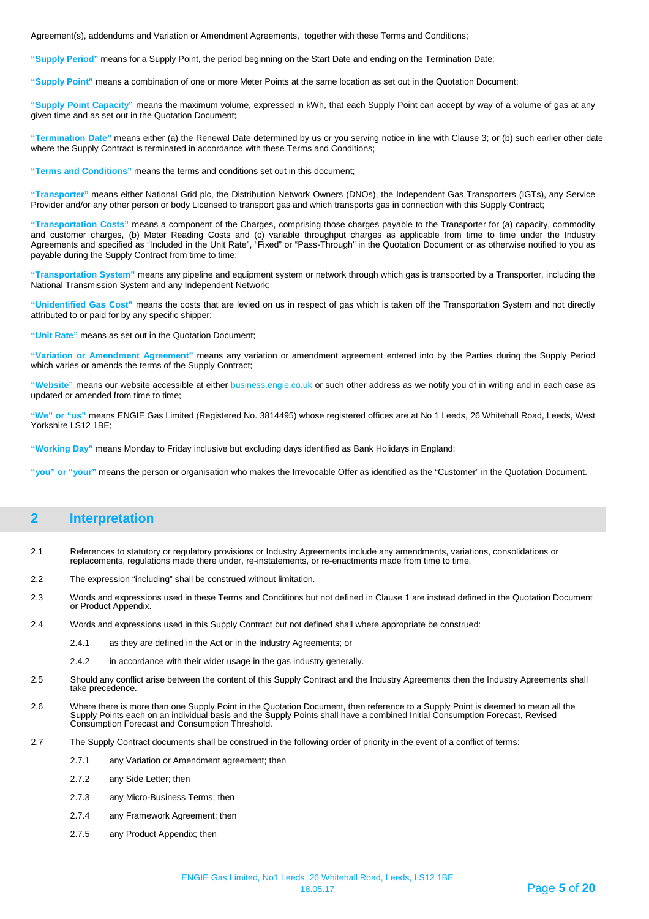Agreement(s), addendums and Variation or Amendment Agreements, together with these Terms and Conditions;

**"Supply Period"** means for a Supply Point, the period beginning on the Start Date and ending on the Termination Date;

**"Supply Point"** means a combination of one or more Meter Points at the same location as set out in the Quotation Document;

**"Supply Point Capacity"** means the maximum volume, expressed in kWh, that each Supply Point can accept by way of a volume of gas at any given time and as set out in the Quotation Document;

**"Termination Date"** means either (a) the Renewal Date determined by us or you serving notice in line with Clause 3; or (b) such earlier other date where the Supply Contract is terminated in accordance with these Terms and Conditions;

**"Terms and Conditions"** means the terms and conditions set out in this document;

**"Transporter"** means either National Grid plc, the Distribution Network Owners (DNOs), the Independent Gas Transporters (IGTs), any Service Provider and/or any other person or body Licensed to transport gas and which transports gas in connection with this Supply Contract;

**"Transportation Costs"** means a component of the Charges, comprising those charges payable to the Transporter for (a) capacity, commodity and customer charges, (b) Meter Reading Costs and (c) variable throughput charges as applicable from time to time under the Industry Agreements and specified as "Included in the Unit Rate", "Fixed" or "Pass-Through" in the Quotation Document or as otherwise notified to you as payable during the Supply Contract from time to time;

**"Transportation System"** means any pipeline and equipment system or network through which gas is transported by a Transporter, including the National Transmission System and any Independent Network;

**"Unidentified Gas Cost"** means the costs that are levied on us in respect of gas which is taken off the Transportation System and not directly attributed to or paid for by any specific shipper;

**"Unit Rate"** means as set out in the Quotation Document;

**"Variation or Amendment Agreement"** means any variation or amendment agreement entered into by the Parties during the Supply Period which varies or amends the terms of the Supply Contract;

**"Website"** means our website accessible at either business.engie.co.uk or such other address as we notify you of in writing and in each case as updated or amended from time to time;

**"We" or "us"** means ENGIE Gas Limited (Registered No. 3814495) whose registered offices are at No 1 Leeds, 26 Whitehall Road, Leeds, West Yorkshire LS12 1BE;

**"Working Day"** means Monday to Friday inclusive but excluding days identified as Bank Holidays in England;

**"you" or "your"** means the person or organisation who makes the Irrevocable Offer as identified as the "Customer" in the Quotation Document.

### <span id="page-4-0"></span>**2 Interpretation**

- 2.1 References to statutory or regulatory provisions or Industry Agreements include any amendments, variations, consolidations or replacements, regulations made there under, re-instatements, or re-enactments made from time to time.
- 2.2 The expression "including" shall be construed without limitation.
- 2.3 Words and expressions used in these Terms and Conditions but not defined in Clause 1 are instead defined in the Quotation Document or Product Appendix.
- 2.4 Words and expressions used in this Supply Contract but not defined shall where appropriate be construed:
	- 2.4.1 as they are defined in the Act or in the Industry Agreements; or
	- 2.4.2 in accordance with their wider usage in the gas industry generally.
- 2.5 Should any conflict arise between the content of this Supply Contract and the Industry Agreements then the Industry Agreements shall take precedence.
- 2.6 Where there is more than one Supply Point in the Quotation Document, then reference to a Supply Point is deemed to mean all the Supply Points each on an individual basis and the Supply Points shall have a combined Initial Consumption Forecast, Revised Consumption Forecast and Consumption Threshold.
- 2.7 The Supply Contract documents shall be construed in the following order of priority in the event of a conflict of terms:
	- 2.7.1 any Variation or Amendment agreement; then
	- 2.7.2 any Side Letter; then
	- 2.7.3 any Micro-Business Terms; then
	- 2.7.4 any Framework Agreement; then
	- 2.7.5 any Product Appendix; then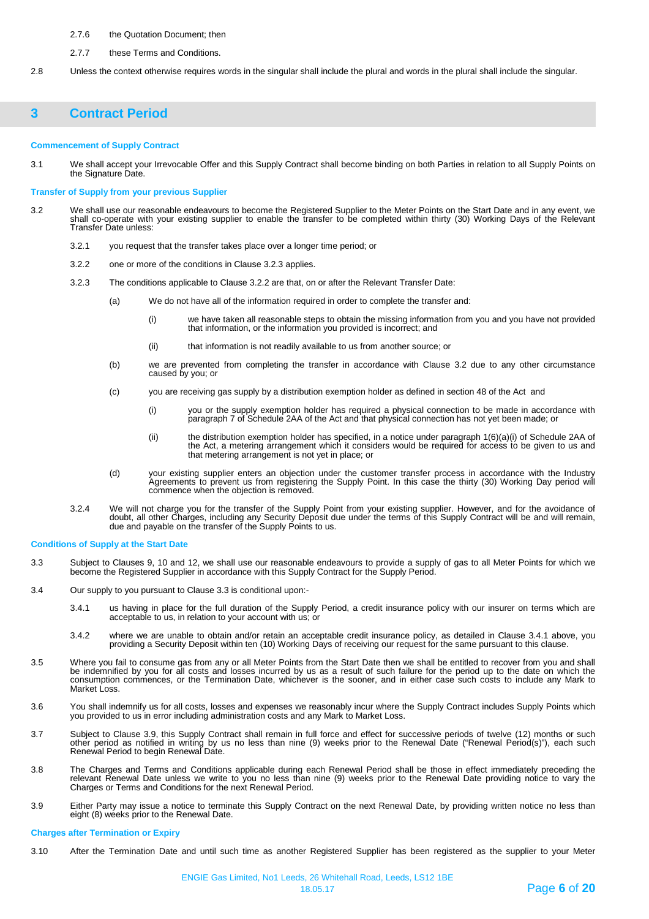- 2.7.6 the Quotation Document; then
- 2.7.7 these Terms and Conditions.
- 2.8 Unless the context otherwise requires words in the singular shall include the plural and words in the plural shall include the singular.

## <span id="page-5-0"></span>**3 Contract Period**

#### **Commencement of Supply Contract**

3.1 We shall accept your Irrevocable Offer and this Supply Contract shall become binding on both Parties in relation to all Supply Points on the Signature Date.

#### **Transfer of Supply from your previous Supplier**

- 3.2 We shall use our reasonable endeavours to become the Registered Supplier to the Meter Points on the Start Date and in any event, we shall co-operate with your existing supplier to enable the transfer to be completed within thirty (30) Working Days of the Relevant Transfer Date unless:
	- 3.2.1 you request that the transfer takes place over a longer time period; or
	- 3.2.2 one or more of the conditions in Clause 3.2.3 applies.
	- 3.2.3 The conditions applicable to Clause 3.2.2 are that, on or after the Relevant Transfer Date:
		- (a) We do not have all of the information required in order to complete the transfer and:
			- (i) we have taken all reasonable steps to obtain the missing information from you and you have not provided that information, or the information you provided is incorrect; and
			- (ii) that information is not readily available to us from another source; or
		- (b) we are prevented from completing the transfer in accordance with Clause 3.2 due to any other circumstance caused by you; or
		- (c) you are receiving gas supply by a distribution exemption holder as defined in section 48 of the Act and
			- (i) you or the supply exemption holder has required a physical connection to be made in accordance with paragraph 7 of Schedule 2AA of the Act and that physical connection has not yet been made; or
			- (ii) the distribution exemption holder has specified, in a notice under paragraph 1(6)(a)(i) of Schedule 2AA of the Act, a metering arrangement which it considers would be required for access to be given to us and that metering arrangement is not yet in place; or
		- (d) your existing supplier enters an objection under the customer transfer process in accordance with the Industry Agreements to prevent us from registering the Supply Point. In this case the thirty (30) Working Day period will commence when the objection is removed.
	- 3.2.4 We will not charge you for the transfer of the Supply Point from your existing supplier. However, and for the avoidance of doubt, all other Charges, including any Security Deposit due under the terms of this Supply Contract will be and will remain, due and payable on the transfer of the Supply Points to us.

#### **Conditions of Supply at the Start Date**

- 3.3 Subject to Clauses 9, 10 and 12, we shall use our reasonable endeavours to provide a supply of gas to all Meter Points for which we become the Registered Supplier in accordance with this Supply Contract for the Supply Period.
- 3.4 Our supply to you pursuant to Clause 3.3 is conditional upon:-
	- 3.4.1 us having in place for the full duration of the Supply Period, a credit insurance policy with our insurer on terms which are acceptable to us, in relation to your account with us; or
	- 3.4.2 where we are unable to obtain and/or retain an acceptable credit insurance policy, as detailed in Clause 3.4.1 above, you providing a Security Deposit within ten (10) Working Days of receiving our request for the same pursuant to this clause.
- 3.5 Where you fail to consume gas from any or all Meter Points from the Start Date then we shall be entitled to recover from you and shall be indemnified by you for all costs and losses incurred by us as a result of such failure for the period up to the date on which the consumption commences, or the Termination Date, whichever is the sooner, and in either case such costs to include any Mark to Market Loss.
- 3.6 You shall indemnify us for all costs, losses and expenses we reasonably incur where the Supply Contract includes Supply Points which you provided to us in error including administration costs and any Mark to Market Loss.
- 3.7 Subject to Clause 3.9, this Supply Contract shall remain in full force and effect for successive periods of twelve (12) months or such other period as notified in writing by us no less than nine (9) weeks prior to the Renewal Date ("Renewal Period(s)"), each such Renewal Period to begin Renewal Date.
- 3.8 The Charges and Terms and Conditions applicable during each Renewal Period shall be those in effect immediately preceding the relevant Renewal Date unless we write to you no less than nine (9) weeks prior to the Renewal Date providing notice to vary the Charges or Terms and Conditions for the next Renewal Period.
- 3.9 Either Party may issue a notice to terminate this Supply Contract on the next Renewal Date, by providing written notice no less than eight (8) weeks prior to the Renewal Date.

#### **Charges after Termination or Expiry**

3.10 After the Termination Date and until such time as another Registered Supplier has been registered as the supplier to your Meter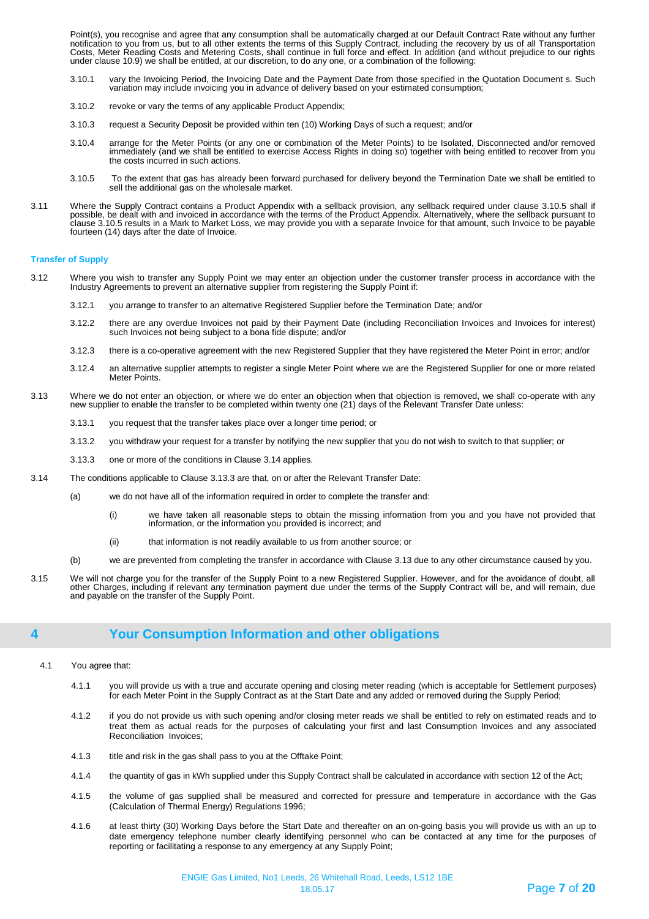Point(s), you recognise and agree that any consumption shall be automatically charged at our Default Contract Rate without any further notification to you from us, but to all other extents the terms of this Supply Contract, including the recovery by us of all Transportation Costs, Meter Reading Costs and Metering Costs, shall continue in full force and effect. In addition (and without prejudice to our rights under clause 10.9) we shall be entitled, at our discretion, to do any one, or a combination of the following:

- 3.10.1 vary the Invoicing Period, the Invoicing Date and the Payment Date from those specified in the Quotation Document s. Such variation may include invoicing you in advance of delivery based on your estimated consumption;
- 3.10.2 revoke or vary the terms of any applicable Product Appendix;
- 3.10.3 request a Security Deposit be provided within ten (10) Working Days of such a request; and/or
- 3.10.4 arrange for the Meter Points (or any one or combination of the Meter Points) to be Isolated, Disconnected and/or removed immediately (and we shall be entitled to exercise Access Rights in doing so) together with being entitled to recover from you the costs incurred in such actions.
- 3.10.5 To the extent that gas has already been forward purchased for delivery beyond the Termination Date we shall be entitled to sell the additional gas on the wholesale market.
- 3.11 Where the Supply Contract contains a Product Appendix with a sellback provision, any sellback required under clause 3.10.5 shall if possible, be dealt with and invoiced in accordance with the terms of the Product Appendix. Alternatively, where the sellback pursuant to clause 3.10.5 results in a Mark to Market Loss, we may provide you with a separate Invoice for that amount, such Invoice to be payable fourteen (14) days after the date of Invoice.

#### **Transfer of Supply**

- 3.12 Where you wish to transfer any Supply Point we may enter an objection under the customer transfer process in accordance with the Industry Agreements to prevent an alternative supplier from registering the Supply Point if:
	- 3.12.1 you arrange to transfer to an alternative Registered Supplier before the Termination Date; and/or
	- 3.12.2 there are any overdue Invoices not paid by their Payment Date (including Reconciliation Invoices and Invoices for interest) such Invoices not being subject to a bona fide dispute; and/or
	- 3.12.3 there is a co-operative agreement with the new Registered Supplier that they have registered the Meter Point in error; and/or
	- 3.12.4 an alternative supplier attempts to register a single Meter Point where we are the Registered Supplier for one or more related Meter Points.
- 3.13 Where we do not enter an objection, or where we do enter an objection when that objection is removed, we shall co-operate with any new supplier to enable the transfer to be completed within twenty one (21) days of the Relevant Transfer Date unless:
	- 3.13.1 you request that the transfer takes place over a longer time period; or
	- 3.13.2 you withdraw your request for a transfer by notifying the new supplier that you do not wish to switch to that supplier; or
	- 3.13.3 one or more of the conditions in Clause 3.14 applies.
- 3.14 The conditions applicable to Clause 3.13.3 are that, on or after the Relevant Transfer Date:
	- (a) we do not have all of the information required in order to complete the transfer and:
		- (i) we have taken all reasonable steps to obtain the missing information from you and you have not provided that information, or the information you provided is incorrect; and
		- (ii) that information is not readily available to us from another source; or
	- (b) we are prevented from completing the transfer in accordance with Clause 3.13 due to any other circumstance caused by you.
- 3.15 We will not charge you for the transfer of the Supply Point to a new Registered Supplier. However, and for the avoidance of doubt, all other Charges, including if relevant any termination payment due under the terms of the Supply Contract will be, and will remain, due and payable on the transfer of the Supply Point.

## <span id="page-6-0"></span>**4 Your Consumption Information and other obligations**

- 4.1 You agree that:
	- 4.1.1 you will provide us with a true and accurate opening and closing meter reading (which is acceptable for Settlement purposes) for each Meter Point in the Supply Contract as at the Start Date and any added or removed during the Supply Period;
	- 4.1.2 if you do not provide us with such opening and/or closing meter reads we shall be entitled to rely on estimated reads and to treat them as actual reads for the purposes of calculating your first and last Consumption Invoices and any associated Reconciliation Invoices;
	- 4.1.3 title and risk in the gas shall pass to you at the Offtake Point;
	- 4.1.4 the quantity of gas in kWh supplied under this Supply Contract shall be calculated in accordance with section 12 of the Act;
	- 4.1.5 the volume of gas supplied shall be measured and corrected for pressure and temperature in accordance with the Gas (Calculation of Thermal Energy) Regulations 1996;
	- 4.1.6 at least thirty (30) Working Days before the Start Date and thereafter on an on-going basis you will provide us with an up to date emergency telephone number clearly identifying personnel who can be contacted at any time for the purposes of reporting or facilitating a response to any emergency at any Supply Point;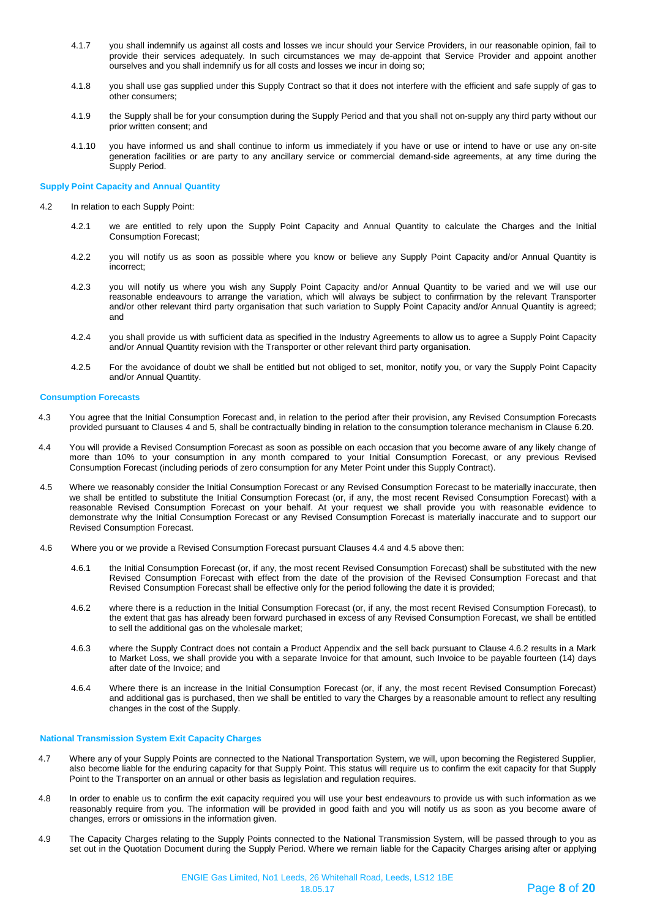- 4.1.7 you shall indemnify us against all costs and losses we incur should your Service Providers, in our reasonable opinion, fail to provide their services adequately. In such circumstances we may de-appoint that Service Provider and appoint another ourselves and you shall indemnify us for all costs and losses we incur in doing so;
- 4.1.8 you shall use gas supplied under this Supply Contract so that it does not interfere with the efficient and safe supply of gas to other consumers;
- 4.1.9 the Supply shall be for your consumption during the Supply Period and that you shall not on-supply any third party without our prior written consent; and
- 4.1.10 you have informed us and shall continue to inform us immediately if you have or use or intend to have or use any on-site generation facilities or are party to any ancillary service or commercial demand-side agreements, at any time during the Supply Period.

#### **Supply Point Capacity and Annual Quantity**

- 4.2 In relation to each Supply Point:
	- 4.2.1 we are entitled to rely upon the Supply Point Capacity and Annual Quantity to calculate the Charges and the Initial Consumption Forecast;
	- 4.2.2 you will notify us as soon as possible where you know or believe any Supply Point Capacity and/or Annual Quantity is incorrect;
	- 4.2.3 you will notify us where you wish any Supply Point Capacity and/or Annual Quantity to be varied and we will use our reasonable endeavours to arrange the variation, which will always be subject to confirmation by the relevant Transporter and/or other relevant third party organisation that such variation to Supply Point Capacity and/or Annual Quantity is agreed; and
	- 4.2.4 you shall provide us with sufficient data as specified in the Industry Agreements to allow us to agree a Supply Point Capacity and/or Annual Quantity revision with the Transporter or other relevant third party organisation.
	- 4.2.5 For the avoidance of doubt we shall be entitled but not obliged to set, monitor, notify you, or vary the Supply Point Capacity and/or Annual Quantity.

#### **Consumption Forecasts**

- 4.3 You agree that the Initial Consumption Forecast and, in relation to the period after their provision, any Revised Consumption Forecasts provided pursuant to Clauses 4 and 5, shall be contractually binding in relation to the consumption tolerance mechanism in Clause 6.20.
- 4.4 You will provide a Revised Consumption Forecast as soon as possible on each occasion that you become aware of any likely change of more than 10% to your consumption in any month compared to your Initial Consumption Forecast, or any previous Revised Consumption Forecast (including periods of zero consumption for any Meter Point under this Supply Contract).
- 4.5 Where we reasonably consider the Initial Consumption Forecast or any Revised Consumption Forecast to be materially inaccurate, then we shall be entitled to substitute the Initial Consumption Forecast (or, if any, the most recent Revised Consumption Forecast) with a reasonable Revised Consumption Forecast on your behalf. At your request we shall provide you with reasonable evidence to demonstrate why the Initial Consumption Forecast or any Revised Consumption Forecast is materially inaccurate and to support our Revised Consumption Forecast.
- 4.6 Where you or we provide a Revised Consumption Forecast pursuant Clauses 4.4 and 4.5 above then:
	- 4.6.1 the Initial Consumption Forecast (or, if any, the most recent Revised Consumption Forecast) shall be substituted with the new Revised Consumption Forecast with effect from the date of the provision of the Revised Consumption Forecast and that Revised Consumption Forecast shall be effective only for the period following the date it is provided;
	- 4.6.2 where there is a reduction in the Initial Consumption Forecast (or, if any, the most recent Revised Consumption Forecast), to the extent that gas has already been forward purchased in excess of any Revised Consumption Forecast, we shall be entitled to sell the additional gas on the wholesale market;
	- 4.6.3 where the Supply Contract does not contain a Product Appendix and the sell back pursuant to Clause 4.6.2 results in a Mark to Market Loss, we shall provide you with a separate Invoice for that amount, such Invoice to be payable fourteen (14) days after date of the Invoice; and
	- 4.6.4 Where there is an increase in the Initial Consumption Forecast (or, if any, the most recent Revised Consumption Forecast) and additional gas is purchased, then we shall be entitled to vary the Charges by a reasonable amount to reflect any resulting changes in the cost of the Supply.

#### **National Transmission System Exit Capacity Charges**

- 4.7 Where any of your Supply Points are connected to the National Transportation System, we will, upon becoming the Registered Supplier, also become liable for the enduring capacity for that Supply Point. This status will require us to confirm the exit capacity for that Supply Point to the Transporter on an annual or other basis as legislation and regulation requires.
- 4.8 In order to enable us to confirm the exit capacity required you will use your best endeavours to provide us with such information as we reasonably require from you. The information will be provided in good faith and you will notify us as soon as you become aware of changes, errors or omissions in the information given.
- 4.9 The Capacity Charges relating to the Supply Points connected to the National Transmission System, will be passed through to you as set out in the Quotation Document during the Supply Period. Where we remain liable for the Capacity Charges arising after or applying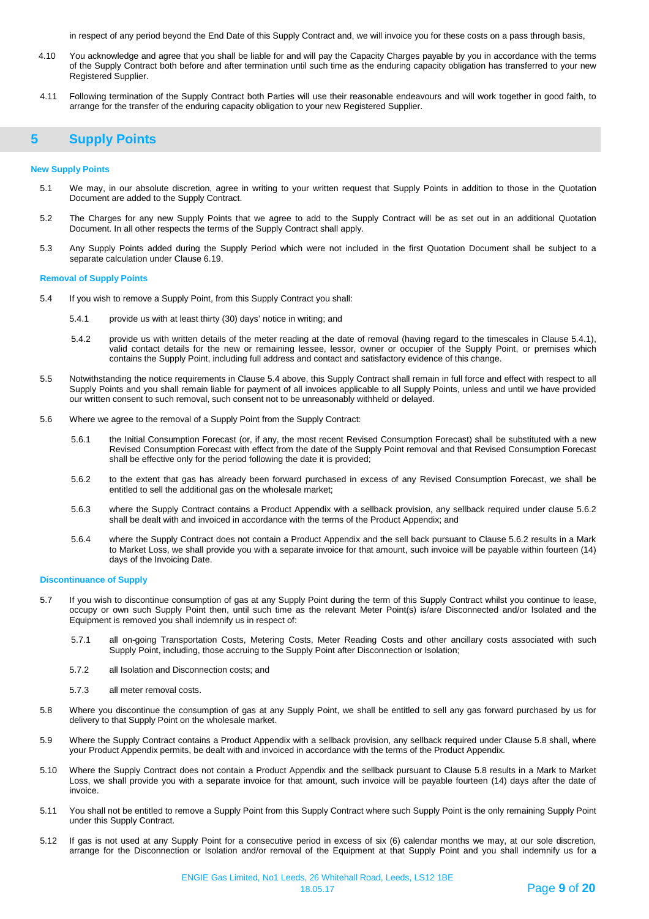in respect of any period beyond the End Date of this Supply Contract and, we will invoice you for these costs on a pass through basis,

- 4.10 You acknowledge and agree that you shall be liable for and will pay the Capacity Charges payable by you in accordance with the terms of the Supply Contract both before and after termination until such time as the enduring capacity obligation has transferred to your new Registered Supplier.
- 4.11 Following termination of the Supply Contract both Parties will use their reasonable endeavours and will work together in good faith, to arrange for the transfer of the enduring capacity obligation to your new Registered Supplier.

## <span id="page-8-0"></span>**5 Supply Points**

#### **New Supply Points**

- 5.1 We may, in our absolute discretion, agree in writing to your written request that Supply Points in addition to those in the Quotation Document are added to the Supply Contract.
- 5.2 The Charges for any new Supply Points that we agree to add to the Supply Contract will be as set out in an additional Quotation Document. In all other respects the terms of the Supply Contract shall apply.
- 5.3 Any Supply Points added during the Supply Period which were not included in the first Quotation Document shall be subject to a separate calculation under Clause 6.19.

#### **Removal of Supply Points**

- 5.4 If you wish to remove a Supply Point, from this Supply Contract you shall:
	- 5.4.1 provide us with at least thirty (30) days' notice in writing; and
	- 5.4.2 provide us with written details of the meter reading at the date of removal (having regard to the timescales in Clause 5.4.1), valid contact details for the new or remaining lessee, lessor, owner or occupier of the Supply Point, or premises which contains the Supply Point, including full address and contact and satisfactory evidence of this change.
- 5.5 Notwithstanding the notice requirements in Clause 5.4 above, this Supply Contract shall remain in full force and effect with respect to all Supply Points and you shall remain liable for payment of all invoices applicable to all Supply Points, unless and until we have provided our written consent to such removal, such consent not to be unreasonably withheld or delayed.
- 5.6 Where we agree to the removal of a Supply Point from the Supply Contract:
	- 5.6.1 the Initial Consumption Forecast (or, if any, the most recent Revised Consumption Forecast) shall be substituted with a new Revised Consumption Forecast with effect from the date of the Supply Point removal and that Revised Consumption Forecast shall be effective only for the period following the date it is provided;
	- 5.6.2 to the extent that gas has already been forward purchased in excess of any Revised Consumption Forecast, we shall be entitled to sell the additional gas on the wholesale market;
	- 5.6.3 where the Supply Contract contains a Product Appendix with a sellback provision, any sellback required under clause 5.6.2 shall be dealt with and invoiced in accordance with the terms of the Product Appendix; and
	- 5.6.4 where the Supply Contract does not contain a Product Appendix and the sell back pursuant to Clause 5.6.2 results in a Mark to Market Loss, we shall provide you with a separate invoice for that amount, such invoice will be payable within fourteen (14) days of the Invoicing Date.

#### **Discontinuance of Supply**

- 5.7 If you wish to discontinue consumption of gas at any Supply Point during the term of this Supply Contract whilst you continue to lease, occupy or own such Supply Point then, until such time as the relevant Meter Point(s) is/are Disconnected and/or Isolated and the Equipment is removed you shall indemnify us in respect of:
	- 5.7.1 all on-going Transportation Costs, Metering Costs, Meter Reading Costs and other ancillary costs associated with such Supply Point, including, those accruing to the Supply Point after Disconnection or Isolation;
	- 5.7.2 all Isolation and Disconnection costs; and
	- 5.7.3 all meter removal costs.
- 5.8 Where you discontinue the consumption of gas at any Supply Point, we shall be entitled to sell any gas forward purchased by us for delivery to that Supply Point on the wholesale market.
- 5.9 Where the Supply Contract contains a Product Appendix with a sellback provision, any sellback required under Clause 5.8 shall, where your Product Appendix permits, be dealt with and invoiced in accordance with the terms of the Product Appendix.
- 5.10 Where the Supply Contract does not contain a Product Appendix and the sellback pursuant to Clause 5.8 results in a Mark to Market Loss, we shall provide you with a separate invoice for that amount, such invoice will be payable fourteen (14) days after the date of invoice.
- 5.11 You shall not be entitled to remove a Supply Point from this Supply Contract where such Supply Point is the only remaining Supply Point under this Supply Contract.
- 5.12 If gas is not used at any Supply Point for a consecutive period in excess of six (6) calendar months we may, at our sole discretion, arrange for the Disconnection or Isolation and/or removal of the Equipment at that Supply Point and you shall indemnify us for a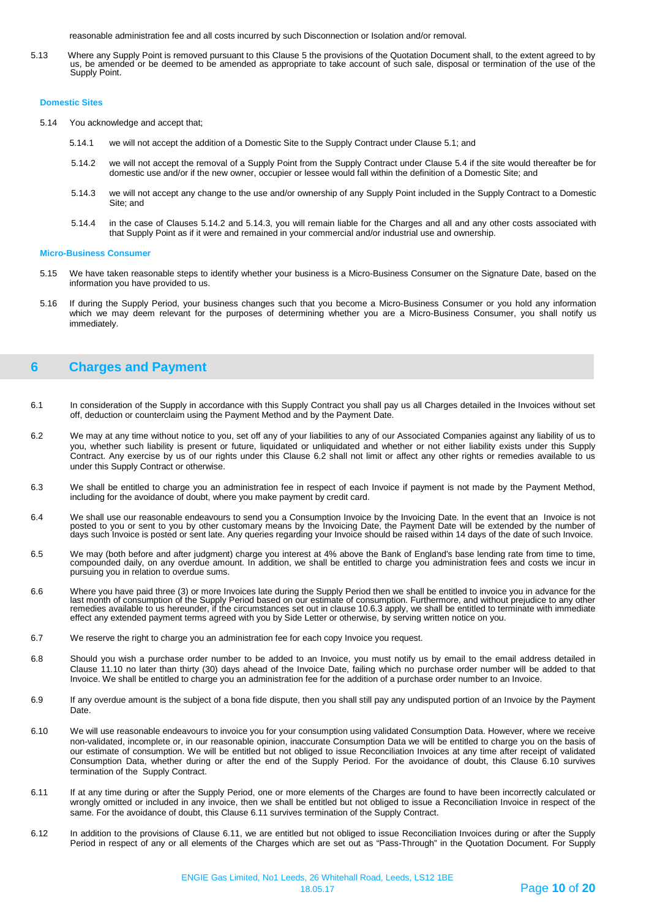reasonable administration fee and all costs incurred by such Disconnection or Isolation and/or removal.

5.13 Where any Supply Point is removed pursuant to this Clause 5 the provisions of the Quotation Document shall, to the extent agreed to by us, be amended or be deemed to be amended as appropriate to take account of such sale, disposal or termination of the use of the Supply Point.

#### **Domestic Sites**

- 5.14 You acknowledge and accept that;
	- 5.14.1 we will not accept the addition of a Domestic Site to the Supply Contract under Clause 5.1; and
	- 5.14.2 we will not accept the removal of a Supply Point from the Supply Contract under Clause 5.4 if the site would thereafter be for domestic use and/or if the new owner, occupier or lessee would fall within the definition of a Domestic Site; and
	- 5.14.3 we will not accept any change to the use and/or ownership of any Supply Point included in the Supply Contract to a Domestic Site; and
	- 5.14.4 in the case of Clauses 5.14.2 and 5.14.3, you will remain liable for the Charges and all and any other costs associated with that Supply Point as if it were and remained in your commercial and/or industrial use and ownership.

#### **Micro-Business Consumer**

- 5.15 We have taken reasonable steps to identify whether your business is a Micro-Business Consumer on the Signature Date, based on the information you have provided to us.
- 5.16 If during the Supply Period, your business changes such that you become a Micro-Business Consumer or you hold any information which we may deem relevant for the purposes of determining whether you are a Micro-Business Consumer, you shall notify us immediately.

## <span id="page-9-0"></span>**6 Charges and Payment**

- 6.1 In consideration of the Supply in accordance with this Supply Contract you shall pay us all Charges detailed in the Invoices without set off, deduction or counterclaim using the Payment Method and by the Payment Date.
- 6.2 We may at any time without notice to you, set off any of your liabilities to any of our Associated Companies against any liability of us to you, whether such liability is present or future, liquidated or unliquidated and whether or not either liability exists under this Supply Contract. Any exercise by us of our rights under this Clause 6.2 shall not limit or affect any other rights or remedies available to us under this Supply Contract or otherwise.
- 6.3 We shall be entitled to charge you an administration fee in respect of each Invoice if payment is not made by the Payment Method, including for the avoidance of doubt, where you make payment by credit card.
- 6.4 We shall use our reasonable endeavours to send you a Consumption Invoice by the Invoicing Date. In the event that an Invoice is not posted to you or sent to you by other customary means by the Invoicing Date, the Payment Date will be extended by the number of days such Invoice is posted or sent late. Any queries regarding your Invoice should be raised within 14 days of the date of such Invoice.
- 6.5 We may (both before and after judgment) charge you interest at 4% above the Bank of England's base lending rate from time to time, compounded daily, on any overdue amount. In addition, we shall be entitled to charge you administration fees and costs we incur in pursuing you in relation to overdue sums.
- 6.6 Where you have paid three (3) or more Invoices late during the Supply Period then we shall be entitled to invoice you in advance for the last month of consumption of the Supply Period based on our estimate of consumption. Furthermore, and without prejudice to any other remedies available to us hereunder, if the circumstances set out in clause 10.6.3 apply, we shall be entitled to terminate with immediate effect any extended payment terms agreed with you by Side Letter or otherwise, by serving written notice on you.
- 6.7 We reserve the right to charge you an administration fee for each copy Invoice you request.
- 6.8 Should you wish a purchase order number to be added to an Invoice, you must notify us by email to the email address detailed in Clause 11.10 no later than thirty (30) days ahead of the Invoice Date, failing which no purchase order number will be added to that Invoice. We shall be entitled to charge you an administration fee for the addition of a purchase order number to an Invoice.
- 6.9 If any overdue amount is the subject of a bona fide dispute, then you shall still pay any undisputed portion of an Invoice by the Payment Date.
- 6.10 We will use reasonable endeavours to invoice you for your consumption using validated Consumption Data. However, where we receive non-validated, incomplete or, in our reasonable opinion, inaccurate Consumption Data we will be entitled to charge you on the basis of our estimate of consumption. We will be entitled but not obliged to issue Reconciliation Invoices at any time after receipt of validated Consumption Data, whether during or after the end of the Supply Period. For the avoidance of doubt, this Clause 6.10 survives termination of the Supply Contract.
- 6.11 If at any time during or after the Supply Period, one or more elements of the Charges are found to have been incorrectly calculated or wrongly omitted or included in any invoice, then we shall be entitled but not obliged to issue a Reconciliation Invoice in respect of the same. For the avoidance of doubt, this Clause 6.11 survives termination of the Supply Contract.
- 6.12 In addition to the provisions of Clause 6.11, we are entitled but not obliged to issue Reconciliation Invoices during or after the Supply Period in respect of any or all elements of the Charges which are set out as "Pass-Through" in the Quotation Document. For Supply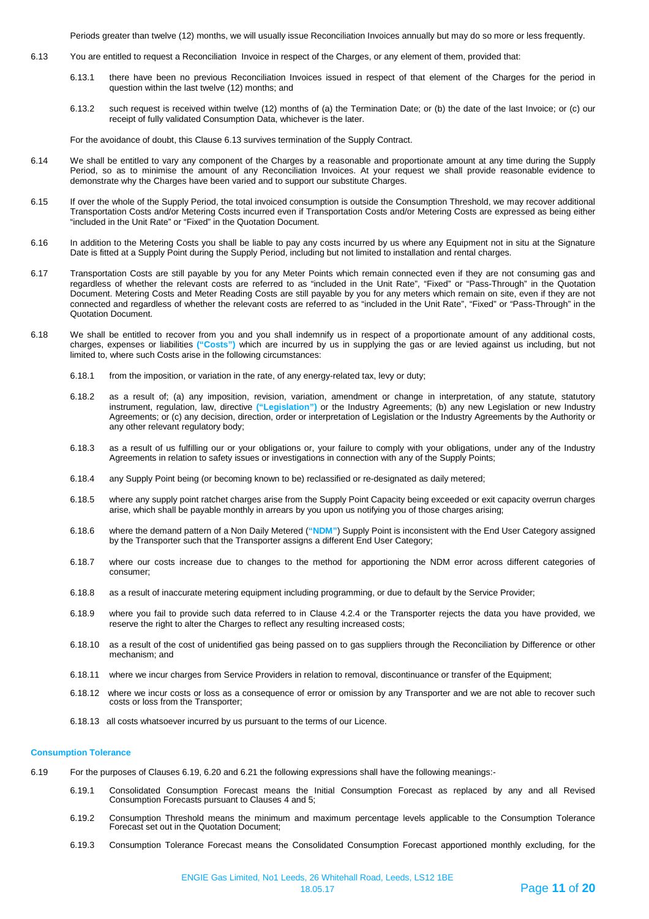Periods greater than twelve (12) months, we will usually issue Reconciliation Invoices annually but may do so more or less frequently.

- 6.13 You are entitled to request a Reconciliation Invoice in respect of the Charges, or any element of them, provided that:
	- 6.13.1 there have been no previous Reconciliation Invoices issued in respect of that element of the Charges for the period in question within the last twelve (12) months; and
	- 6.13.2 such request is received within twelve (12) months of (a) the Termination Date; or (b) the date of the last Invoice; or (c) our receipt of fully validated Consumption Data, whichever is the later.

For the avoidance of doubt, this Clause 6.13 survives termination of the Supply Contract.

- 6.14 We shall be entitled to vary any component of the Charges by a reasonable and proportionate amount at any time during the Supply Period, so as to minimise the amount of any Reconciliation Invoices. At your request we shall provide reasonable evidence to demonstrate why the Charges have been varied and to support our substitute Charges.
- 6.15 If over the whole of the Supply Period, the total invoiced consumption is outside the Consumption Threshold, we may recover additional Transportation Costs and/or Metering Costs incurred even if Transportation Costs and/or Metering Costs are expressed as being either "included in the Unit Rate" or "Fixed" in the Quotation Document.
- 6.16 In addition to the Metering Costs you shall be liable to pay any costs incurred by us where any Equipment not in situ at the Signature Date is fitted at a Supply Point during the Supply Period, including but not limited to installation and rental charges.
- 6.17 Transportation Costs are still payable by you for any Meter Points which remain connected even if they are not consuming gas and regardless of whether the relevant costs are referred to as "included in the Unit Rate", "Fixed" or "Pass-Through" in the Quotation Document. Metering Costs and Meter Reading Costs are still payable by you for any meters which remain on site, even if they are not connected and regardless of whether the relevant costs are referred to as "included in the Unit Rate", "Fixed" or "Pass-Through" in the Quotation Document.
- 6.18 We shall be entitled to recover from you and you shall indemnify us in respect of a proportionate amount of any additional costs, charges, expenses or liabilities **("Costs")** which are incurred by us in supplying the gas or are levied against us including, but not limited to, where such Costs arise in the following circumstances:
	- 6.18.1 from the imposition, or variation in the rate, of any energy-related tax, levy or duty;
	- 6.18.2 as a result of; (a) any imposition, revision, variation, amendment or change in interpretation, of any statute, statutory instrument, regulation, law, directive **("Legislation")** or the Industry Agreements; (b) any new Legislation or new Industry Agreements; or (c) any decision, direction, order or interpretation of Legislation or the Industry Agreements by the Authority or any other relevant regulatory body;
	- 6.18.3 as a result of us fulfilling our or your obligations or, your failure to comply with your obligations, under any of the Industry Agreements in relation to safety issues or investigations in connection with any of the Supply Points;
	- 6.18.4 any Supply Point being (or becoming known to be) reclassified or re-designated as daily metered;
	- 6.18.5 where any supply point ratchet charges arise from the Supply Point Capacity being exceeded or exit capacity overrun charges arise, which shall be payable monthly in arrears by you upon us notifying you of those charges arising;
	- 6.18.6 where the demand pattern of a Non Daily Metered (**"NDM"**) Supply Point is inconsistent with the End User Category assigned by the Transporter such that the Transporter assigns a different End User Category;
	- 6.18.7 where our costs increase due to changes to the method for apportioning the NDM error across different categories of consumer;
	- 6.18.8 as a result of inaccurate metering equipment including programming, or due to default by the Service Provider;
	- 6.18.9 where you fail to provide such data referred to in Clause 4.2.4 or the Transporter rejects the data you have provided, we reserve the right to alter the Charges to reflect any resulting increased costs;
	- 6.18.10 as a result of the cost of unidentified gas being passed on to gas suppliers through the Reconciliation by Difference or other mechanism; and
	- 6.18.11 where we incur charges from Service Providers in relation to removal, discontinuance or transfer of the Equipment;
	- 6.18.12 where we incur costs or loss as a consequence of error or omission by any Transporter and we are not able to recover such costs or loss from the Transporter;
	- 6.18.13 all costs whatsoever incurred by us pursuant to the terms of our Licence.

#### **Consumption Tolerance**

- 6.19 For the purposes of Clauses 6.19, 6.20 and 6.21 the following expressions shall have the following meanings:-
	- 6.19.1 Consolidated Consumption Forecast means the Initial Consumption Forecast as replaced by any and all Revised Consumption Forecasts pursuant to Clauses 4 and 5;
	- 6.19.2 Consumption Threshold means the minimum and maximum percentage levels applicable to the Consumption Tolerance Forecast set out in the Quotation Document;
	- 6.19.3 Consumption Tolerance Forecast means the Consolidated Consumption Forecast apportioned monthly excluding, for the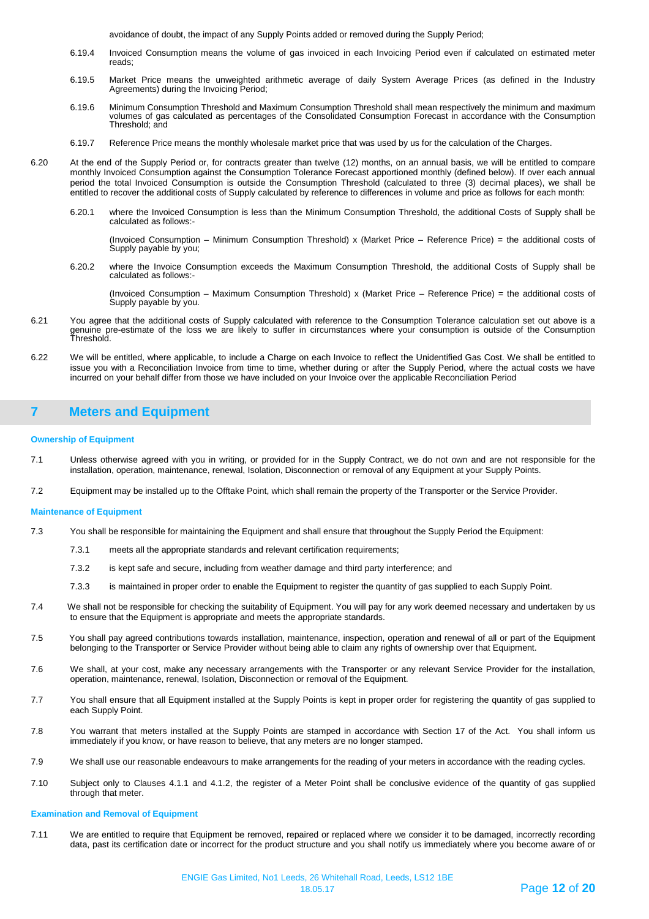avoidance of doubt, the impact of any Supply Points added or removed during the Supply Period;

- 6.19.4 Invoiced Consumption means the volume of gas invoiced in each Invoicing Period even if calculated on estimated meter reads;
- 6.19.5 Market Price means the unweighted arithmetic average of daily System Average Prices (as defined in the Industry Agreements) during the Invoicing Period;
- 6.19.6 Minimum Consumption Threshold and Maximum Consumption Threshold shall mean respectively the minimum and maximum volumes of gas calculated as percentages of the Consolidated Consumption Forecast in accordance with the Consumption Threshold; and
- 6.19.7 Reference Price means the monthly wholesale market price that was used by us for the calculation of the Charges.
- 6.20 At the end of the Supply Period or, for contracts greater than twelve (12) months, on an annual basis, we will be entitled to compare monthly Invoiced Consumption against the Consumption Tolerance Forecast apportioned monthly (defined below). If over each annual period the total Invoiced Consumption is outside the Consumption Threshold (calculated to three (3) decimal places), we shall be entitled to recover the additional costs of Supply calculated by reference to differences in volume and price as follows for each month:
	- 6.20.1 where the Invoiced Consumption is less than the Minimum Consumption Threshold, the additional Costs of Supply shall be calculated as follows:-

(Invoiced Consumption – Minimum Consumption Threshold) x (Market Price – Reference Price) = the additional costs of Supply payable by you;

6.20.2 where the Invoice Consumption exceeds the Maximum Consumption Threshold, the additional Costs of Supply shall be calculated as follows:-

(Invoiced Consumption – Maximum Consumption Threshold) x (Market Price – Reference Price) = the additional costs of Supply payable by you.

- 6.21 You agree that the additional costs of Supply calculated with reference to the Consumption Tolerance calculation set out above is a genuine pre-estimate of the loss we are likely to suffer in circumstances where your consumption is outside of the Consumption Threshold.
- 6.22 We will be entitled, where applicable, to include a Charge on each Invoice to reflect the Unidentified Gas Cost. We shall be entitled to issue you with a Reconciliation Invoice from time to time, whether during or after the Supply Period, where the actual costs we have incurred on your behalf differ from those we have included on your Invoice over the applicable Reconciliation Period

## <span id="page-11-0"></span>**7 Meters and Equipment**

#### **Ownership of Equipment**

- 7.1 Unless otherwise agreed with you in writing, or provided for in the Supply Contract, we do not own and are not responsible for the installation, operation, maintenance, renewal, Isolation, Disconnection or removal of any Equipment at your Supply Points.
- 7.2 Equipment may be installed up to the Offtake Point, which shall remain the property of the Transporter or the Service Provider.

#### **Maintenance of Equipment**

- 7.3 You shall be responsible for maintaining the Equipment and shall ensure that throughout the Supply Period the Equipment:
	- 7.3.1 meets all the appropriate standards and relevant certification requirements;
	- 7.3.2 is kept safe and secure, including from weather damage and third party interference; and
	- 7.3.3 is maintained in proper order to enable the Equipment to register the quantity of gas supplied to each Supply Point.
- 7.4 We shall not be responsible for checking the suitability of Equipment. You will pay for any work deemed necessary and undertaken by us to ensure that the Equipment is appropriate and meets the appropriate standards.
- 7.5 You shall pay agreed contributions towards installation, maintenance, inspection, operation and renewal of all or part of the Equipment belonging to the Transporter or Service Provider without being able to claim any rights of ownership over that Equipment.
- 7.6 We shall, at your cost, make any necessary arrangements with the Transporter or any relevant Service Provider for the installation, operation, maintenance, renewal, Isolation, Disconnection or removal of the Equipment.
- 7.7 You shall ensure that all Equipment installed at the Supply Points is kept in proper order for registering the quantity of gas supplied to each Supply Point.
- 7.8 You warrant that meters installed at the Supply Points are stamped in accordance with Section 17 of the Act. You shall inform us immediately if you know, or have reason to believe, that any meters are no longer stamped.
- 7.9 We shall use our reasonable endeavours to make arrangements for the reading of your meters in accordance with the reading cycles.
- 7.10 Subject only to Clauses 4.1.1 and 4.1.2, the register of a Meter Point shall be conclusive evidence of the quantity of gas supplied through that meter.

#### **Examination and Removal of Equipment**

7.11 We are entitled to require that Equipment be removed, repaired or replaced where we consider it to be damaged, incorrectly recording data, past its certification date or incorrect for the product structure and you shall notify us immediately where you become aware of or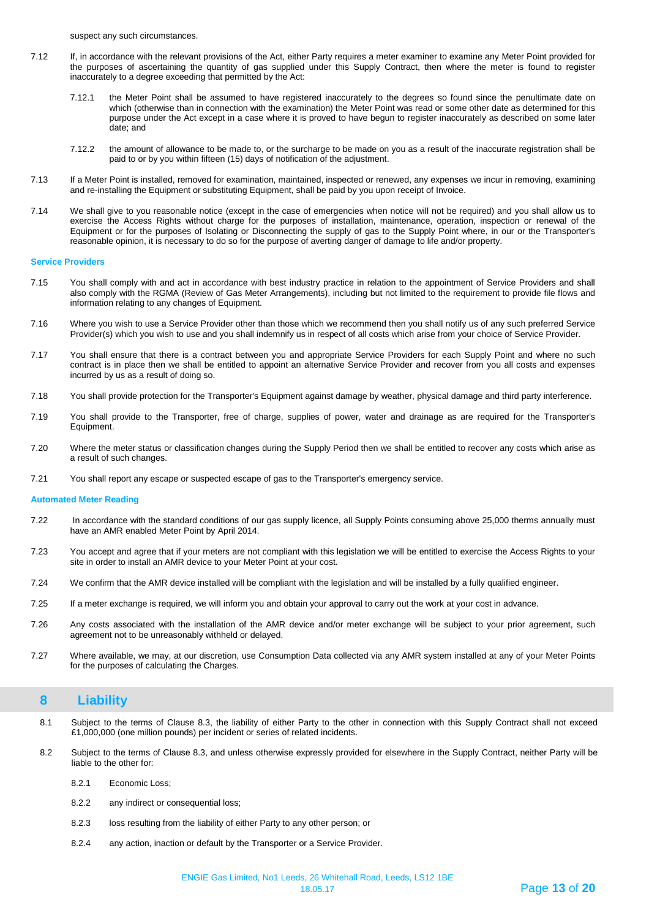suspect any such circumstances.

- 7.12 If, in accordance with the relevant provisions of the Act, either Party requires a meter examiner to examine any Meter Point provided for the purposes of ascertaining the quantity of gas supplied under this Supply Contract, then where the meter is found to register inaccurately to a degree exceeding that permitted by the Act:
	- 7.12.1 the Meter Point shall be assumed to have registered inaccurately to the degrees so found since the penultimate date on which (otherwise than in connection with the examination) the Meter Point was read or some other date as determined for this purpose under the Act except in a case where it is proved to have begun to register inaccurately as described on some later date; and
	- 7.12.2 the amount of allowance to be made to, or the surcharge to be made on you as a result of the inaccurate registration shall be paid to or by you within fifteen (15) days of notification of the adjustment.
- 7.13 If a Meter Point is installed, removed for examination, maintained, inspected or renewed, any expenses we incur in removing, examining and re-installing the Equipment or substituting Equipment, shall be paid by you upon receipt of Invoice.
- 7.14 We shall give to you reasonable notice (except in the case of emergencies when notice will not be required) and you shall allow us to exercise the Access Rights without charge for the purposes of installation, maintenance, operation, inspection or renewal of the Equipment or for the purposes of Isolating or Disconnecting the supply of gas to the Supply Point where, in our or the Transporter's reasonable opinion, it is necessary to do so for the purpose of averting danger of damage to life and/or property.

#### **Service Providers**

- 7.15 You shall comply with and act in accordance with best industry practice in relation to the appointment of Service Providers and shall also comply with the RGMA (Review of Gas Meter Arrangements), including but not limited to the requirement to provide file flows and information relating to any changes of Equipment.
- 7.16 Where you wish to use a Service Provider other than those which we recommend then you shall notify us of any such preferred Service Provider(s) which you wish to use and you shall indemnify us in respect of all costs which arise from your choice of Service Provider.
- 7.17 You shall ensure that there is a contract between you and appropriate Service Providers for each Supply Point and where no such contract is in place then we shall be entitled to appoint an alternative Service Provider and recover from you all costs and expenses incurred by us as a result of doing so.
- 7.18 You shall provide protection for the Transporter's Equipment against damage by weather, physical damage and third party interference.
- 7.19 You shall provide to the Transporter, free of charge, supplies of power, water and drainage as are required for the Transporter's Equipment.
- 7.20 Where the meter status or classification changes during the Supply Period then we shall be entitled to recover any costs which arise as a result of such changes.
- 7.21 You shall report any escape or suspected escape of gas to the Transporter's emergency service.

#### **Automated Meter Reading**

- 7.22 In accordance with the standard conditions of our gas supply licence, all Supply Points consuming above 25,000 therms annually must have an AMR enabled Meter Point by April 2014.
- 7.23 You accept and agree that if your meters are not compliant with this legislation we will be entitled to exercise the Access Rights to your site in order to install an AMR device to your Meter Point at your cost.
- 7.24 We confirm that the AMR device installed will be compliant with the legislation and will be installed by a fully qualified engineer.
- 7.25 If a meter exchange is required, we will inform you and obtain your approval to carry out the work at your cost in advance.
- 7.26 Any costs associated with the installation of the AMR device and/or meter exchange will be subject to your prior agreement, such agreement not to be unreasonably withheld or delayed.
- 7.27 Where available, we may, at our discretion, use Consumption Data collected via any AMR system installed at any of your Meter Points for the purposes of calculating the Charges.

## <span id="page-12-0"></span>**8 Liability**

- 8.1 Subject to the terms of Clause 8.3, the liability of either Party to the other in connection with this Supply Contract shall not exceed £1,000,000 (one million pounds) per incident or series of related incidents.
- 8.2 Subject to the terms of Clause 8.3, and unless otherwise expressly provided for elsewhere in the Supply Contract, neither Party will be liable to the other for:
	- 8.2.1 Economic Loss;
	- 8.2.2 any indirect or consequential loss;
	- 8.2.3 loss resulting from the liability of either Party to any other person; or
	- 8.2.4 any action, inaction or default by the Transporter or a Service Provider.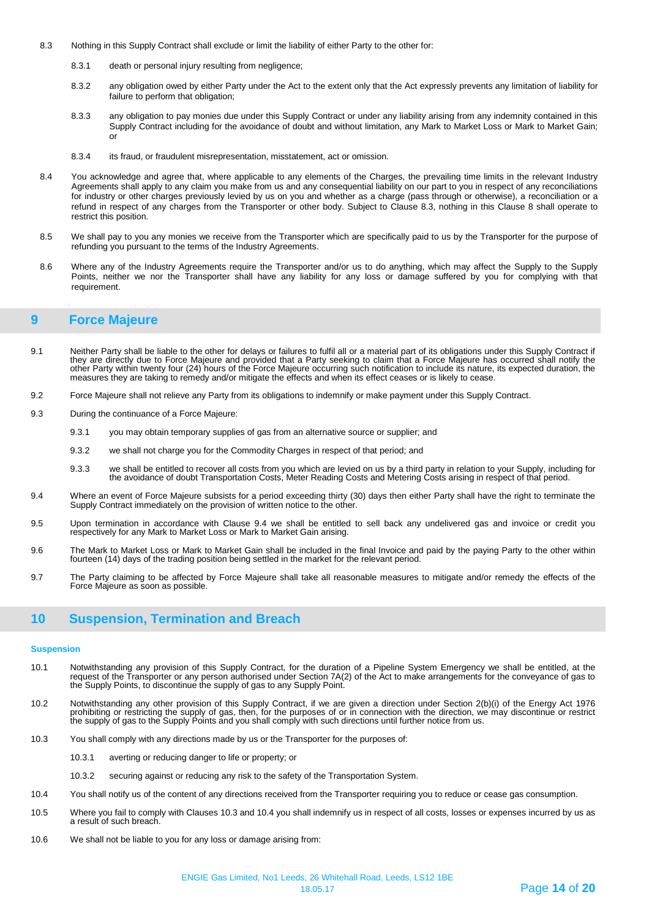- <span id="page-13-0"></span>8.3 Nothing in this Supply Contract shall exclude or limit the liability of either Party to the other for:
	- 8.3.1 death or personal injury resulting from negligence;
	- 8.3.2 any obligation owed by either Party under the Act to the extent only that the Act expressly prevents any limitation of liability for failure to perform that obligation;
	- 8.3.3 any obligation to pay monies due under this Supply Contract or under any liability arising from any indemnity contained in this Supply Contract including for the avoidance of doubt and without limitation, any Mark to Market Loss or Mark to Market Gain; or
	- 8.3.4 its fraud, or fraudulent misrepresentation, misstatement, act or omission.
- 8.4 You acknowledge and agree that, where applicable to any elements of the Charges, the prevailing time limits in the relevant Industry Agreements shall apply to any claim you make from us and any consequential liability on our part to you in respect of any reconciliations for industry or other charges previously levied by us on you and whether as a charge (pass through or otherwise), a reconciliation or a refund in respect of any charges from the Transporter or other body. Subject to Clause 8.3, nothing in this Clause 8 shall operate to restrict this position.
- 8.5 We shall pay to you any monies we receive from the Transporter which are specifically paid to us by the Transporter for the purpose of refunding you pursuant to the terms of the Industry Agreements.
- 8.6 Where any of the Industry Agreements require the Transporter and/or us to do anything, which may affect the Supply to the Supply Points, neither we nor the Transporter shall have any liability for any loss or damage suffered by you for complying with that requirement.

### **9 Force Majeure**

- 9.1 Neither Party shall be liable to the other for delays or failures to fulfil all or a material part of its obligations under this Supply Contract if they are directly due to Force Majeure and provided that a Party seeking to claim that a Force Majeure has occurred shall notify the other Party within twenty four (24) hours of the Force Majeure occurring such notification to include its nature, its expected duration, the measures they are taking to remedy and/or mitigate the effects and when its effect ceases or is likely to cease.
- 9.2 Force Majeure shall not relieve any Party from its obligations to indemnify or make payment under this Supply Contract.
- 9.3 During the continuance of a Force Majeure:
	- 9.3.1 you may obtain temporary supplies of gas from an alternative source or supplier; and
	- 9.3.2 we shall not charge you for the Commodity Charges in respect of that period; and
	- 9.3.3 we shall be entitled to recover all costs from you which are levied on us by a third party in relation to your Supply, including for the avoidance of doubt Transportation Costs, Meter Reading Costs and Metering Costs arising in respect of that period.
- 9.4 Where an event of Force Majeure subsists for a period exceeding thirty (30) days then either Party shall have the right to terminate the Supply Contract immediately on the provision of written notice to the other.
- 9.5 Upon termination in accordance with Clause 9.4 we shall be entitled to sell back any undelivered gas and invoice or credit you respectively for any Mark to Market Loss or Mark to Market Gain arising.
- 9.6 The Mark to Market Loss or Mark to Market Gain shall be included in the final Invoice and paid by the paying Party to the other within fourteen (14) days of the trading position being settled in the market for the relevant period.
- 9.7 The Party claiming to be affected by Force Majeure shall take all reasonable measures to mitigate and/or remedy the effects of the Force Majeure as soon as possible.

## <span id="page-13-1"></span>**10 Suspension, Termination and Breach**

#### **Suspension**

- 10.1 Notwithstanding any provision of this Supply Contract, for the duration of a Pipeline System Emergency we shall be entitled, at the request of the Transporter or any person authorised under Section 7A(2) of the Act to make arrangements for the conveyance of gas to the Supply Points, to discontinue the supply of gas to any Supply Point.
- 10.2 Notwithstanding any other provision of this Supply Contract, if we are given a direction under Section 2(b)(i) of the Energy Act 1976 prohibiting or restricting the supply of gas, then, for the purposes of or in connection with the direction, we may discontinue or restrict the supply of gas to the Supply Points and you shall comply with such directions until further notice from us.
- 10.3 You shall comply with any directions made by us or the Transporter for the purposes of:
	- 10.3.1 averting or reducing danger to life or property; or
	- 10.3.2 securing against or reducing any risk to the safety of the Transportation System.
- 10.4 You shall notify us of the content of any directions received from the Transporter requiring you to reduce or cease gas consumption.
- 10.5 Where you fail to comply with Clauses 10.3 and 10.4 you shall indemnify us in respect of all costs, losses or expenses incurred by us as a result of such breach.
- 10.6 We shall not be liable to you for any loss or damage arising from: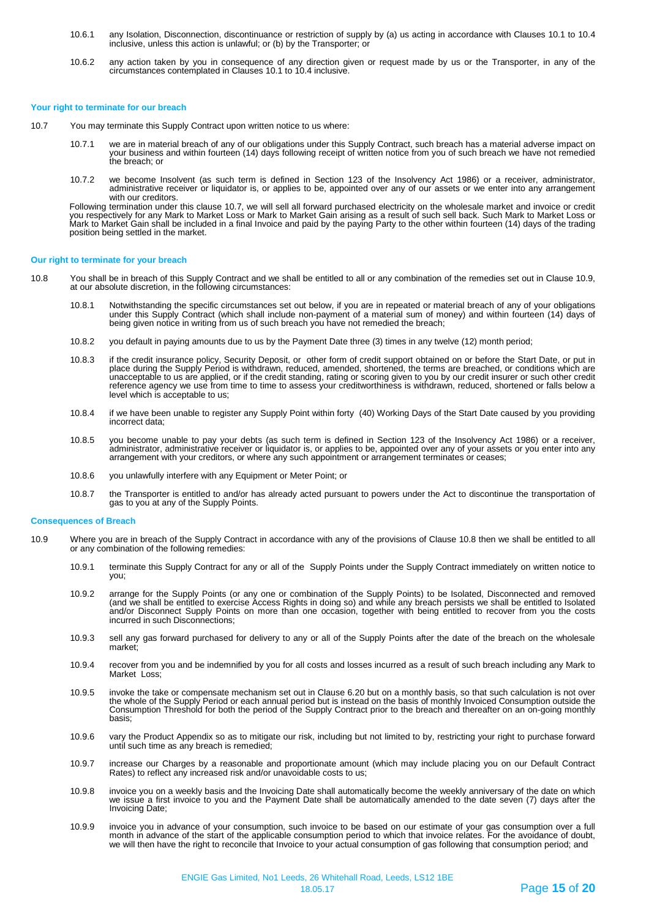- 10.6.1 any Isolation, Disconnection, discontinuance or restriction of supply by (a) us acting in accordance with Clauses 10.1 to 10.4 inclusive, unless this action is unlawful; or (b) by the Transporter; or
- 10.6.2 any action taken by you in consequence of any direction given or request made by us or the Transporter, in any of the circumstances contemplated in Clauses 10.1 to 10.4 inclusive.

#### **Your right to terminate for our breach**

- 10.7 You may terminate this Supply Contract upon written notice to us where:
	- 10.7.1 we are in material breach of any of our obligations under this Supply Contract, such breach has a material adverse impact on your business and within fourteen (14) days following receipt of written notice from you of such breach we have not remedied the breach; or
	- 10.7.2 we become Insolvent (as such term is defined in Section 123 of the Insolvency Act 1986) or a receiver, administrator, administrative receiver or liquidator is, or applies to be, appointed over any of our assets or we enter into any arrangement with our creditors.

Following termination under this clause 10.7, we will sell all forward purchased electricity on the wholesale market and invoice or credit you respectively for any Mark to Market Loss or Mark to Market Gain arising as a result of such sell back. Such Mark to Market Loss or<br>Mark to Market Gain shall be included in a final Invoice and paid by the paying Party t position being settled in the market.

#### **Our right to terminate for your breach**

- 10.8 You shall be in breach of this Supply Contract and we shall be entitled to all or any combination of the remedies set out in Clause 10.9, at our absolute discretion, in the following circumstances:
	- 10.8.1 Notwithstanding the specific circumstances set out below, if you are in repeated or material breach of any of your obligations under this Supply Contract (which shall include non-payment of a material sum of money) and within fourteen (14) days of being given notice in writing from us of such breach you have not remedied the breach;
	- 10.8.2 you default in paying amounts due to us by the Payment Date three (3) times in any twelve (12) month period;
	- 10.8.3 if the credit insurance policy, Security Deposit, or other form of credit support obtained on or before the Start Date, or put in place during the Supply Period is withdrawn, reduced, amended, shortened, the terms are breached, or conditions which are<br>unacceptable to us are applied, or if the credit standing, rating or scoring given to you by our cre reference agency we use from time to time to assess your creditworthiness is withdrawn, reduced, shortened or falls below a level which is acceptable to us;
	- 10.8.4 if we have been unable to register any Supply Point within forty (40) Working Days of the Start Date caused by you providing incorrect data;
	- 10.8.5 you become unable to pay your debts (as such term is defined in Section 123 of the Insolvency Act 1986) or a receiver, administrator, administrative receiver or liquidator is, or applies to be, appointed over any of your assets or you enter into any arrangement with your creditors, or where any such appointment or arrangement terminates or ceases;
	- 10.8.6 you unlawfully interfere with any Equipment or Meter Point; or
	- 10.8.7 the Transporter is entitled to and/or has already acted pursuant to powers under the Act to discontinue the transportation of gas to you at any of the Supply Points.

#### **Consequences of Breach**

- 10.9 Where you are in breach of the Supply Contract in accordance with any of the provisions of Clause 10.8 then we shall be entitled to all or any combination of the following remedies:
	- 10.9.1 terminate this Supply Contract for any or all of the Supply Points under the Supply Contract immediately on written notice to you;
	- 10.9.2 arrange for the Supply Points (or any one or combination of the Supply Points) to be Isolated, Disconnected and removed (and we shall be entitled to exercise Access Rights in doing so) and while any breach persists we shall be entitled to Isolated and/or Disconnect Supply Points on more than one occasion, together with being entitled to recover from you the costs incurred in such Disconnections;
	- 10.9.3 sell any gas forward purchased for delivery to any or all of the Supply Points after the date of the breach on the wholesale market;
	- 10.9.4 recover from you and be indemnified by you for all costs and losses incurred as a result of such breach including any Mark to Market Loss;
	- 10.9.5 invoke the take or compensate mechanism set out in Clause 6.20 but on a monthly basis, so that such calculation is not over the whole of the Supply Period or each annual period but is instead on the basis of monthly Invoiced Consumption outside the Consumption Threshold for both the period of the Supply Contract prior to the breach and thereafter on an on-going monthly basis;
	- 10.9.6 vary the Product Appendix so as to mitigate our risk, including but not limited to by, restricting your right to purchase forward until such time as any breach is remedied;
	- 10.9.7 increase our Charges by a reasonable and proportionate amount (which may include placing you on our Default Contract Rates) to reflect any increased risk and/or unavoidable costs to us:
	- 10.9.8 invoice you on a weekly basis and the Invoicing Date shall automatically become the weekly anniversary of the date on which we issue a first invoice to you and the Payment Date shall be automatically amended to the date seven (7) days after the Invoicing Date;
	- 10.9.9 invoice you in advance of your consumption, such invoice to be based on our estimate of your gas consumption over a full month in advance of the start of the applicable consumption period to which that invoice relates. For the avoidance of doubt, we will then have the right to reconcile that Invoice to your actual consumption of gas following that consumption period; and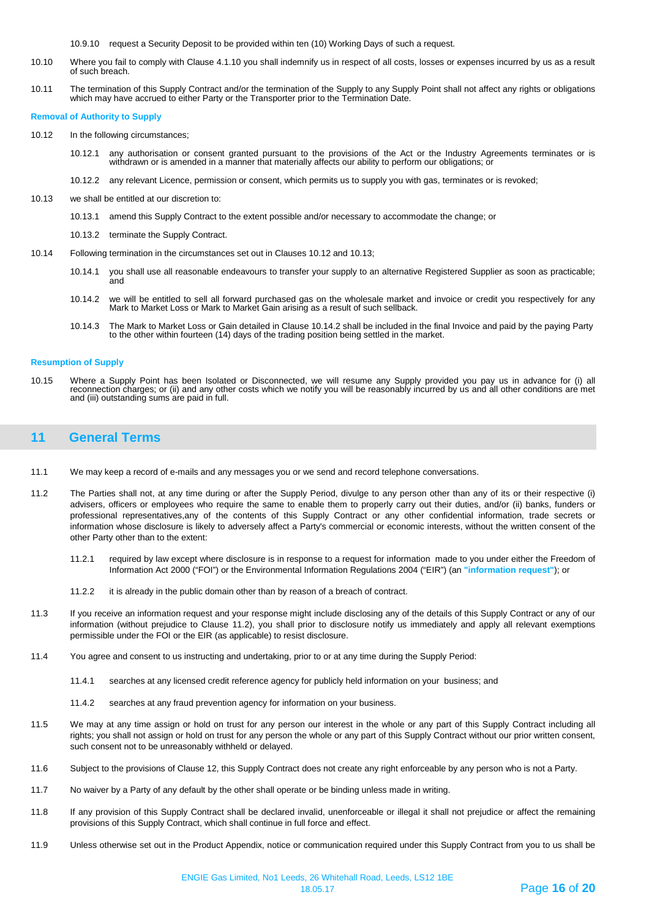10.9.10 request a Security Deposit to be provided within ten (10) Working Days of such a request.

- 10.10 Where you fail to comply with Clause 4.1.10 you shall indemnify us in respect of all costs, losses or expenses incurred by us as a result of such breach.
- 10.11 The termination of this Supply Contract and/or the termination of the Supply to any Supply Point shall not affect any rights or obligations which may have accrued to either Party or the Transporter prior to the Termination Date.

#### **Removal of Authority to Supply**

- 10.12 In the following circumstances;
	- 10.12.1 any authorisation or consent granted pursuant to the provisions of the Act or the Industry Agreements terminates or is withdrawn or is amended in a manner that materially affects our ability to perform our obligations; or
	- 10.12.2 any relevant Licence, permission or consent, which permits us to supply you with gas, terminates or is revoked;
- 10.13 we shall be entitled at our discretion to:
	- 10.13.1 amend this Supply Contract to the extent possible and/or necessary to accommodate the change; or
	- 10.13.2 terminate the Supply Contract.
- 10.14 Following termination in the circumstances set out in Clauses 10.12 and 10.13;
	- 10.14.1 you shall use all reasonable endeavours to transfer your supply to an alternative Registered Supplier as soon as practicable; and
	- 10.14.2 we will be entitled to sell all forward purchased gas on the wholesale market and invoice or credit you respectively for any Mark to Market Loss or Mark to Market Gain arising as a result of such sellback.
	- 10.14.3 The Mark to Market Loss or Gain detailed in Clause 10.14.2 shall be included in the final Invoice and paid by the paying Party to the other within fourteen (14) days of the trading position being settled in the market.

#### **Resumption of Supply**

10.15 Where a Supply Point has been Isolated or Disconnected, we will resume any Supply provided you pay us in advance for (i) all reconnection charges; or (ii) and any other costs which we notify you will be reasonably incurred by us and all other conditions are met and (iii) outstanding sums are paid in full.

## <span id="page-15-0"></span>**11 General Terms**

- 11.1 We may keep a record of e-mails and any messages you or we send and record telephone conversations.
- 11.2 The Parties shall not, at any time during or after the Supply Period, divulge to any person other than any of its or their respective (i) advisers, officers or employees who require the same to enable them to properly carry out their duties, and/or (ii) banks, funders or professional representatives,any of the contents of this Supply Contract or any other confidential information, trade secrets or information whose disclosure is likely to adversely affect a Party's commercial or economic interests, without the written consent of the other Party other than to the extent:
	- 11.2.1 required by law except where disclosure is in response to a request for information made to you under either the Freedom of Information Act 2000 ("FOI") or the Environmental Information Regulations 2004 ("EIR") (an **"information request"**); or
	- 11.2.2 it is already in the public domain other than by reason of a breach of contract.
- 11.3 If you receive an information request and your response might include disclosing any of the details of this Supply Contract or any of our information (without prejudice to Clause 11.2), you shall prior to disclosure notify us immediately and apply all relevant exemptions permissible under the FOI or the EIR (as applicable) to resist disclosure.
- 11.4 You agree and consent to us instructing and undertaking, prior to or at any time during the Supply Period:
	- 11.4.1 searches at any licensed credit reference agency for publicly held information on your business; and
	- 11.4.2 searches at any fraud prevention agency for information on your business.
- 11.5 We may at any time assign or hold on trust for any person our interest in the whole or any part of this Supply Contract including all rights; you shall not assign or hold on trust for any person the whole or any part of this Supply Contract without our prior written consent, such consent not to be unreasonably withheld or delayed.
- 11.6 Subject to the provisions of Clause 12, this Supply Contract does not create any right enforceable by any person who is not a Party.
- 11.7 No waiver by a Party of any default by the other shall operate or be binding unless made in writing.
- 11.8 If any provision of this Supply Contract shall be declared invalid, unenforceable or illegal it shall not prejudice or affect the remaining provisions of this Supply Contract, which shall continue in full force and effect.
- 11.9 Unless otherwise set out in the Product Appendix, notice or communication required under this Supply Contract from you to us shall be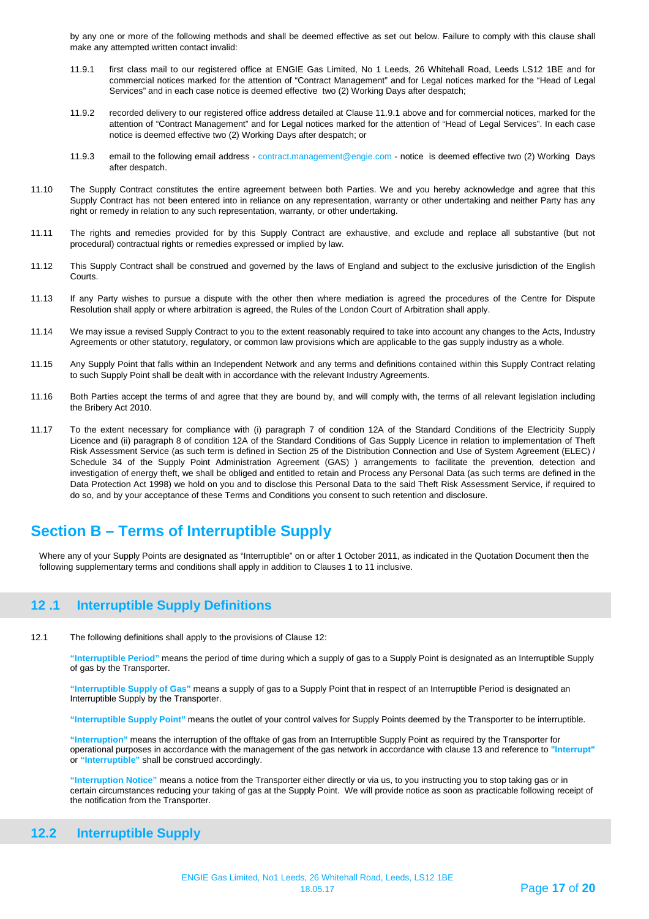by any one or more of the following methods and shall be deemed effective as set out below. Failure to comply with this clause shall make any attempted written contact invalid:

- 11.9.1 first class mail to our registered office at ENGIE Gas Limited, No 1 Leeds, 26 Whitehall Road, Leeds LS12 1BE and for commercial notices marked for the attention of "Contract Management" and for Legal notices marked for the "Head of Legal Services" and in each case notice is deemed effective two (2) Working Days after despatch;
- 11.9.2 recorded delivery to our registered office address detailed at Clause 11.9.1 above and for commercial notices, marked for the attention of "Contract Management" and for Legal notices marked for the attention of "Head of Legal Services". In each case notice is deemed effective two (2) Working Days after despatch; or
- 11.9.3 email to the following email address contract.management@engie.com notice is deemed effective two (2) Working Days after despatch.
- 11.10 The Supply Contract constitutes the entire agreement between both Parties. We and you hereby acknowledge and agree that this Supply Contract has not been entered into in reliance on any representation, warranty or other undertaking and neither Party has any right or remedy in relation to any such representation, warranty, or other undertaking.
- 11.11 The rights and remedies provided for by this Supply Contract are exhaustive, and exclude and replace all substantive (but not procedural) contractual rights or remedies expressed or implied by law.
- 11.12 This Supply Contract shall be construed and governed by the laws of England and subject to the exclusive jurisdiction of the English Courts.
- 11.13 If any Party wishes to pursue a dispute with the other then where mediation is agreed the procedures of the Centre for Dispute Resolution shall apply or where arbitration is agreed, the Rules of the London Court of Arbitration shall apply.
- 11.14 We may issue a revised Supply Contract to you to the extent reasonably required to take into account any changes to the Acts, Industry Agreements or other statutory, regulatory, or common law provisions which are applicable to the gas supply industry as a whole.
- 11.15 Any Supply Point that falls within an Independent Network and any terms and definitions contained within this Supply Contract relating to such Supply Point shall be dealt with in accordance with the relevant Industry Agreements.
- 11.16 Both Parties accept the terms of and agree that they are bound by, and will comply with, the terms of all relevant legislation including the Bribery Act 2010.
- 11.17 To the extent necessary for compliance with (i) paragraph 7 of condition 12A of the Standard Conditions of the Electricity Supply Licence and (ii) paragraph 8 of condition 12A of the Standard Conditions of Gas Supply Licence in relation to implementation of Theft Risk Assessment Service (as such term is defined in Section 25 of the Distribution Connection and Use of System Agreement (ELEC) / Schedule 34 of the Supply Point Administration Agreement (GAS) ) arrangements to facilitate the prevention, detection and investigation of energy theft, we shall be obliged and entitled to retain and Process any Personal Data (as such terms are defined in the Data Protection Act 1998) we hold on you and to disclose this Personal Data to the said Theft Risk Assessment Service, if required to do so, and by your acceptance of these Terms and Conditions you consent to such retention and disclosure.

## **Section B – Terms of Interruptible Supply**

Where any of your Supply Points are designated as "Interruptible" on or after 1 October 2011, as indicated in the Quotation Document then the following supplementary terms and conditions shall apply in addition to Clauses 1 to 11 inclusive.

## <span id="page-16-0"></span>**12 .1 Interruptible Supply Definitions**

12.1 The following definitions shall apply to the provisions of Clause 12:

**"Interruptible Period"** means the period of time during which a supply of gas to a Supply Point is designated as an Interruptible Supply of gas by the Transporter.

**"Interruptible Supply of Gas"** means a supply of gas to a Supply Point that in respect of an Interruptible Period is designated an Interruptible Supply by the Transporter.

**"Interruptible Supply Point"** means the outlet of your control valves for Supply Points deemed by the Transporter to be interruptible.

**"Interruption"** means the interruption of the offtake of gas from an Interruptible Supply Point as required by the Transporter for operational purposes in accordance with the management of the gas network in accordance with clause 13 and reference to **"Interrupt"** or **"Interruptible"** shall be construed accordingly.

**"Interruption Notice"** means a notice from the Transporter either directly or via us, to you instructing you to stop taking gas or in certain circumstances reducing your taking of gas at the Supply Point. We will provide notice as soon as practicable following receipt of the notification from the Transporter.

## <span id="page-16-1"></span>**12.2 Interruptible Supply**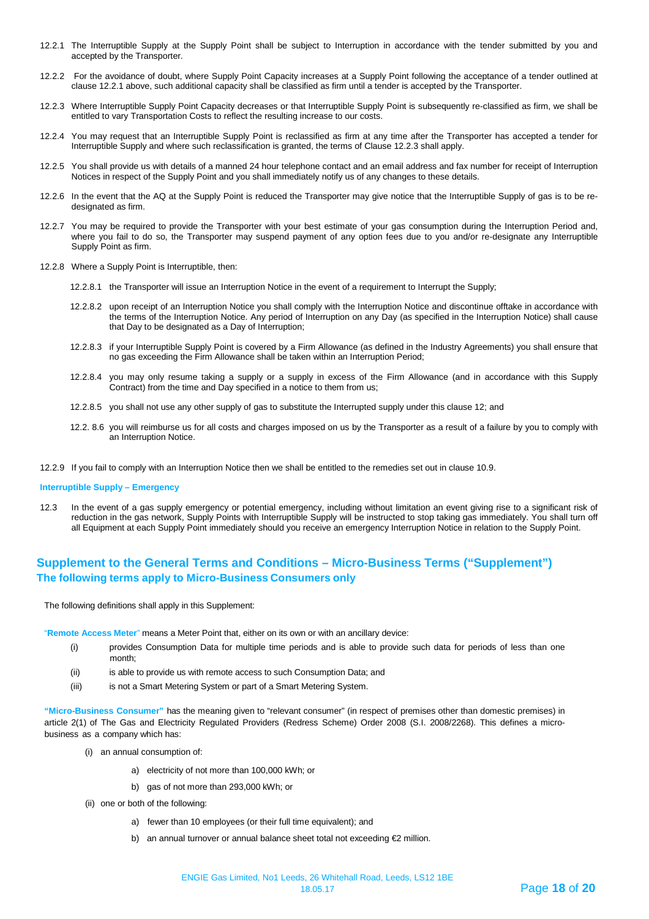- 12.2.1 The Interruptible Supply at the Supply Point shall be subject to Interruption in accordance with the tender submitted by you and accepted by the Transporter.
- 12.2.2 For the avoidance of doubt, where Supply Point Capacity increases at a Supply Point following the acceptance of a tender outlined at clause 12.2.1 above, such additional capacity shall be classified as firm until a tender is accepted by the Transporter.
- 12.2.3 Where Interruptible Supply Point Capacity decreases or that Interruptible Supply Point is subsequently re-classified as firm, we shall be entitled to vary Transportation Costs to reflect the resulting increase to our costs.
- 12.2.4 You may request that an Interruptible Supply Point is reclassified as firm at any time after the Transporter has accepted a tender for Interruptible Supply and where such reclassification is granted, the terms of Clause 12.2.3 shall apply.
- 12.2.5 You shall provide us with details of a manned 24 hour telephone contact and an email address and fax number for receipt of Interruption Notices in respect of the Supply Point and you shall immediately notify us of any changes to these details.
- 12.2.6 In the event that the AQ at the Supply Point is reduced the Transporter may give notice that the Interruptible Supply of gas is to be redesignated as firm.
- 12.2.7 You may be required to provide the Transporter with your best estimate of your gas consumption during the Interruption Period and, where you fail to do so, the Transporter may suspend payment of any option fees due to you and/or re-designate any Interruptible Supply Point as firm.
- 12.2.8 Where a Supply Point is Interruptible, then:
	- 12.2.8.1 the Transporter will issue an Interruption Notice in the event of a requirement to Interrupt the Supply;
	- 12.2.8.2 upon receipt of an Interruption Notice you shall comply with the Interruption Notice and discontinue offtake in accordance with the terms of the Interruption Notice. Any period of Interruption on any Day (as specified in the Interruption Notice) shall cause that Day to be designated as a Day of Interruption;
	- 12.2.8.3 if your Interruptible Supply Point is covered by a Firm Allowance (as defined in the Industry Agreements) you shall ensure that no gas exceeding the Firm Allowance shall be taken within an Interruption Period;
	- 12.2.8.4 you may only resume taking a supply or a supply in excess of the Firm Allowance (and in accordance with this Supply Contract) from the time and Day specified in a notice to them from us;
	- 12.2.8.5 you shall not use any other supply of gas to substitute the Interrupted supply under this clause 12; and
	- 12.2. 8.6 you will reimburse us for all costs and charges imposed on us by the Transporter as a result of a failure by you to comply with an Interruption Notice.
- 12.2.9 If you fail to comply with an Interruption Notice then we shall be entitled to the remedies set out in clause 10.9.

#### **Interruptible Supply – Emergency**

12.3 In the event of a gas supply emergency or potential emergency, including without limitation an event giving rise to a significant risk of reduction in the gas network, Supply Points with Interruptible Supply will be instructed to stop taking gas immediately. You shall turn off all Equipment at each Supply Point immediately should you receive an emergency Interruption Notice in relation to the Supply Point.

## **Supplement to the General Terms and Conditions – Micro-Business Terms ("Supplement") The following terms apply to Micro-Business Consumers only**

The following definitions shall apply in this Supplement:

"**Remote Access Meter**" means a Meter Point that, either on its own or with an ancillary device:

- (i) provides Consumption Data for multiple time periods and is able to provide such data for periods of less than one month;
- (ii) is able to provide us with remote access to such Consumption Data; and
- (iii) is not a Smart Metering System or part of a Smart Metering System.

**"Micro-Business Consumer"** has the meaning given to "relevant consumer" (in respect of premises other than domestic premises) in article 2(1) of The Gas and Electricity Regulated Providers (Redress Scheme) Order 2008 (S.I. 2008/2268). This defines a microbusiness as a company which has:

- (i) an annual consumption of:
	- a) electricity of not more than 100,000 kWh; or
	- b) gas of not more than 293,000 kWh; or
- (ii) one or both of the following:
	- a) fewer than 10 employees (or their full time equivalent); and
	- b) an annual turnover or annual balance sheet total not exceeding €2 million.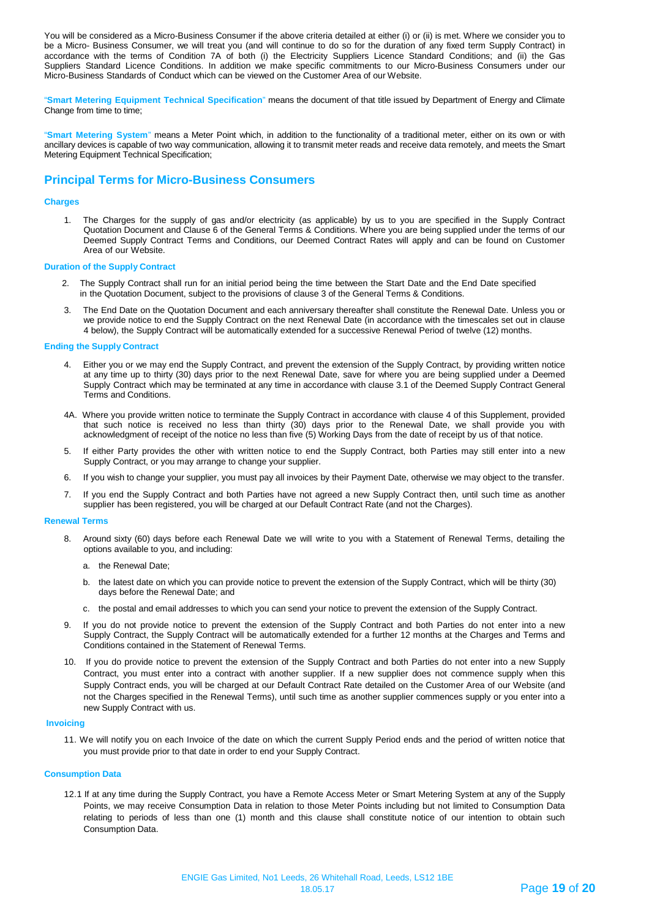You will be considered as a Micro-Business Consumer if the above criteria detailed at either (i) or (ii) is met. Where we consider you to be a Micro- Business Consumer, we will treat you (and will continue to do so for the duration of any fixed term Supply Contract) in accordance with the terms of Condition 7A of both (i) the Electricity Suppliers Licence Standard Conditions; and (ii) the Gas Suppliers Standard Licence Conditions. In addition we make specific commitments to our Micro-Business Consumers under our Micro-Business Standards of Conduct which can be viewed on the Customer Area of our Website.

"**Smart Metering Equipment Technical Specification**" means the document of that title issued by Department of Energy and Climate Change from time to time;

"**Smart Metering System**" means a Meter Point which, in addition to the functionality of a traditional meter, either on its own or with ancillary devices is capable of two way communication, allowing it to transmit meter reads and receive data remotely, and meets the Smart Metering Equipment Technical Specification;

## **Principal Terms for Micro-Business Consumers**

#### **Charges**

1. The Charges for the supply of gas and/or electricity (as applicable) by us to you are specified in the Supply Contract Quotation Document and Clause 6 of the General Terms & Conditions. Where you are being supplied under the terms of our Deemed Supply Contract Terms and Conditions, our Deemed Contract Rates will apply and can be found on Customer Area of our Website.

#### **Duration of the Supply Contract**

- 2. The Supply Contract shall run for an initial period being the time between the Start Date and the End Date specified in the Quotation Document, subject to the provisions of clause 3 of the General Terms & Conditions.
- 3. The End Date on the Quotation Document and each anniversary thereafter shall constitute the Renewal Date. Unless you or we provide notice to end the Supply Contract on the next Renewal Date (in accordance with the timescales set out in clause 4 below), the Supply Contract will be automatically extended for a successive Renewal Period of twelve (12) months.

#### **Ending the Supply Contract**

- 4. Either you or we may end the Supply Contract, and prevent the extension of the Supply Contract, by providing written notice at any time up to thirty (30) days prior to the next Renewal Date, save for where you are being supplied under a Deemed Supply Contract which may be terminated at any time in accordance with clause 3.1 of the Deemed Supply Contract General Terms and Conditions.
- 4A. Where you provide written notice to terminate the Supply Contract in accordance with clause 4 of this Supplement, provided that such notice is received no less than thirty (30) days prior to the Renewal Date, we shall provide you with acknowledgment of receipt of the notice no less than five (5) Working Days from the date of receipt by us of that notice.
- 5. If either Party provides the other with written notice to end the Supply Contract, both Parties may still enter into a new Supply Contract, or you may arrange to change your supplier.
- 6. If you wish to change your supplier, you must pay all invoices by their Payment Date, otherwise we may object to the transfer.
- 7. If you end the Supply Contract and both Parties have not agreed a new Supply Contract then, until such time as another supplier has been registered, you will be charged at our Default Contract Rate (and not the Charges).

#### **Renewal Terms**

- 8. Around sixty (60) days before each Renewal Date we will write to you with a Statement of Renewal Terms, detailing the options available to you, and including:
	- a. the Renewal Date;
	- b. the latest date on which you can provide notice to prevent the extension of the Supply Contract, which will be thirty (30) days before the Renewal Date; and
	- c. the postal and email addresses to which you can send your notice to prevent the extension of the Supply Contract.
- 9. If you do not provide notice to prevent the extension of the Supply Contract and both Parties do not enter into a new Supply Contract, the Supply Contract will be automatically extended for a further 12 months at the Charges and Terms and Conditions contained in the Statement of Renewal Terms.
- 10. If you do provide notice to prevent the extension of the Supply Contract and both Parties do not enter into a new Supply Contract, you must enter into a contract with another supplier. If a new supplier does not commence supply when this Supply Contract ends, you will be charged at our Default Contract Rate detailed on the Customer Area of our Website (and not the Charges specified in the Renewal Terms), until such time as another supplier commences supply or you enter into a new Supply Contract with us.

#### **Invoicing**

11. We will notify you on each Invoice of the date on which the current Supply Period ends and the period of written notice that you must provide prior to that date in order to end your Supply Contract.

#### **Consumption Data**

12.1 If at any time during the Supply Contract, you have a Remote Access Meter or Smart Metering System at any of the Supply Points, we may receive Consumption Data in relation to those Meter Points including but not limited to Consumption Data relating to periods of less than one (1) month and this clause shall constitute notice of our intention to obtain such Consumption Data.